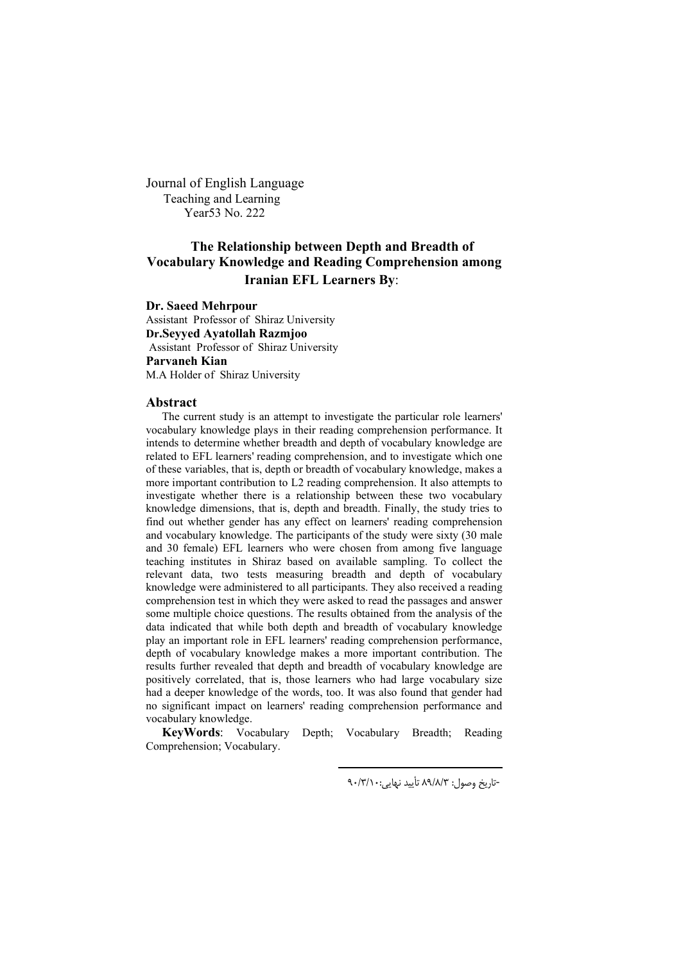Journal of English Language Teaching and Learning Year53 No. 222

# **The Relationship between Depth and Breadth of Vocabulary Knowledge and Reading Comprehension among Iranian EFL Learners By**:

**Dr. Saeed Mehrpour**

Assistant Professor of Shiraz University **Dr.Seyyed Ayatollah Razmjoo** Assistant Professor of Shiraz University **Parvaneh Kian** M.A Holder of Shiraz University

#### **Abstract**

The current study is an attempt to investigate the particular role learners' vocabulary knowledge plays in their reading comprehension performance. It intends to determine whether breadth and depth of vocabulary knowledge are related to EFL learners' reading comprehension, and to investigate which one of these variables, that is, depth or breadth of vocabulary knowledge, makes a more important contribution to L2 reading comprehension. It also attempts to investigate whether there is a relationship between these two vocabulary knowledge dimensions, that is, depth and breadth. Finally, the study tries to find out whether gender has any effect on learners' reading comprehension and vocabulary knowledge. The participants of the study were sixty (30 male and 30 female) EFL learners who were chosen from among five language teaching institutes in Shiraz based on available sampling. To collect the relevant data, two tests measuring breadth and depth of vocabulary knowledge were administered to all participants. They also received a reading comprehension test in which they were asked to read the passages and answer some multiple choice questions. The results obtained from the analysis of the data indicated that while both depth and breadth of vocabulary knowledge play an important role in EFL learners' reading comprehension performance, depth of vocabulary knowledge makes a more important contribution. The results further revealed that depth and breadth of vocabulary knowledge are positively correlated, that is, those learners who had large vocabulary size had a deeper knowledge of the words, too. It was also found that gender had no significant impact on learners' reading comprehension performance and vocabulary knowledge.

**KeyWords**: Vocabulary Depth; Vocabulary Breadth; Reading Comprehension; Vocabulary.

 $\overline{a}$ 

-تاریخ وصول: ۸۹/۸/۳ تأیید نهایی: ۹۰/۳/۱۰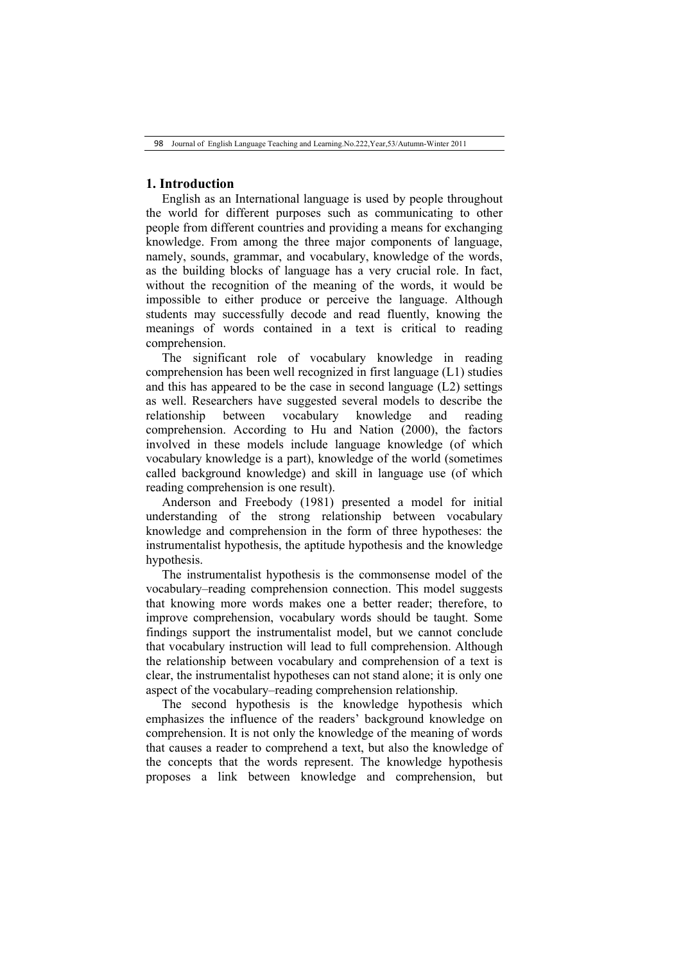## **1. Introduction**

English as an International language is used by people throughout the world for different purposes such as communicating to other people from different countries and providing a means for exchanging knowledge. From among the three major components of language, namely, sounds, grammar, and vocabulary, knowledge of the words, as the building blocks of language has a very crucial role. In fact, without the recognition of the meaning of the words, it would be impossible to either produce or perceive the language. Although students may successfully decode and read fluently, knowing the meanings of words contained in a text is critical to reading comprehension.

The significant role of vocabulary knowledge in reading comprehension has been well recognized in first language (L1) studies and this has appeared to be the case in second language (L2) settings as well. Researchers have suggested several models to describe the relationship between vocabulary knowledge and reading comprehension. According to Hu and Nation (2000), the factors involved in these models include language knowledge (of which vocabulary knowledge is a part), knowledge of the world (sometimes called background knowledge) and skill in language use (of which reading comprehension is one result).

Anderson and Freebody (1981) presented a model for initial understanding of the strong relationship between vocabulary knowledge and comprehension in the form of three hypotheses: the instrumentalist hypothesis, the aptitude hypothesis and the knowledge hypothesis.

The instrumentalist hypothesis is the commonsense model of the vocabulary–reading comprehension connection. This model suggests that knowing more words makes one a better reader; therefore, to improve comprehension, vocabulary words should be taught. Some findings support the instrumentalist model, but we cannot conclude that vocabulary instruction will lead to full comprehension. Although the relationship between vocabulary and comprehension of a text is clear, the instrumentalist hypotheses can not stand alone; it is only one aspect of the vocabulary–reading comprehension relationship.

The second hypothesis is the knowledge hypothesis which emphasizes the influence of the readers' background knowledge on comprehension. It is not only the knowledge of the meaning of words that causes a reader to comprehend a text, but also the knowledge of the concepts that the words represent. The knowledge hypothesis proposes a link between knowledge and comprehension, but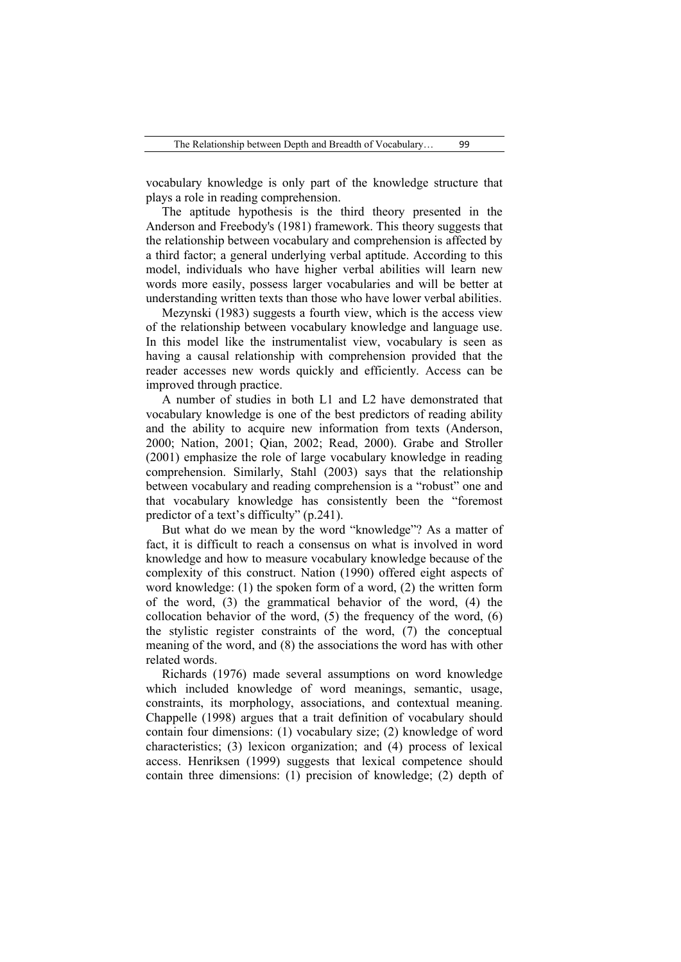vocabulary knowledge is only part of the knowledge structure that plays a role in reading comprehension.

The aptitude hypothesis is the third theory presented in the Anderson and Freebody's (1981) framework. This theory suggests that the relationship between vocabulary and comprehension is affected by a third factor; a general underlying verbal aptitude. According to this model, individuals who have higher verbal abilities will learn new words more easily, possess larger vocabularies and will be better at understanding written texts than those who have lower verbal abilities.

Mezynski (1983) suggests a fourth view, which is the access view of the relationship between vocabulary knowledge and language use. In this model like the instrumentalist view, vocabulary is seen as having a causal relationship with comprehension provided that the reader accesses new words quickly and efficiently. Access can be improved through practice.

A number of studies in both L1 and L2 have demonstrated that vocabulary knowledge is one of the best predictors of reading ability and the ability to acquire new information from texts (Anderson, 2000; Nation, 2001; Qian, 2002; Read, 2000). Grabe and Stroller (2001) emphasize the role of large vocabulary knowledge in reading comprehension. Similarly, Stahl (2003) says that the relationship between vocabulary and reading comprehension is a "robust" one and that vocabulary knowledge has consistently been the "foremost predictor of a text's difficulty" (p.241).

But what do we mean by the word "knowledge"? As a matter of fact, it is difficult to reach a consensus on what is involved in word knowledge and how to measure vocabulary knowledge because of the complexity of this construct. Nation (1990) offered eight aspects of word knowledge: (1) the spoken form of a word, (2) the written form of the word, (3) the grammatical behavior of the word, (4) the collocation behavior of the word, (5) the frequency of the word, (6) the stylistic register constraints of the word, (7) the conceptual meaning of the word, and (8) the associations the word has with other related words.

Richards (1976) made several assumptions on word knowledge which included knowledge of word meanings, semantic, usage, constraints, its morphology, associations, and contextual meaning. Chappelle (1998) argues that a trait definition of vocabulary should contain four dimensions: (1) vocabulary size; (2) knowledge of word characteristics; (3) lexicon organization; and (4) process of lexical access. Henriksen (1999) suggests that lexical competence should contain three dimensions: (1) precision of knowledge; (2) depth of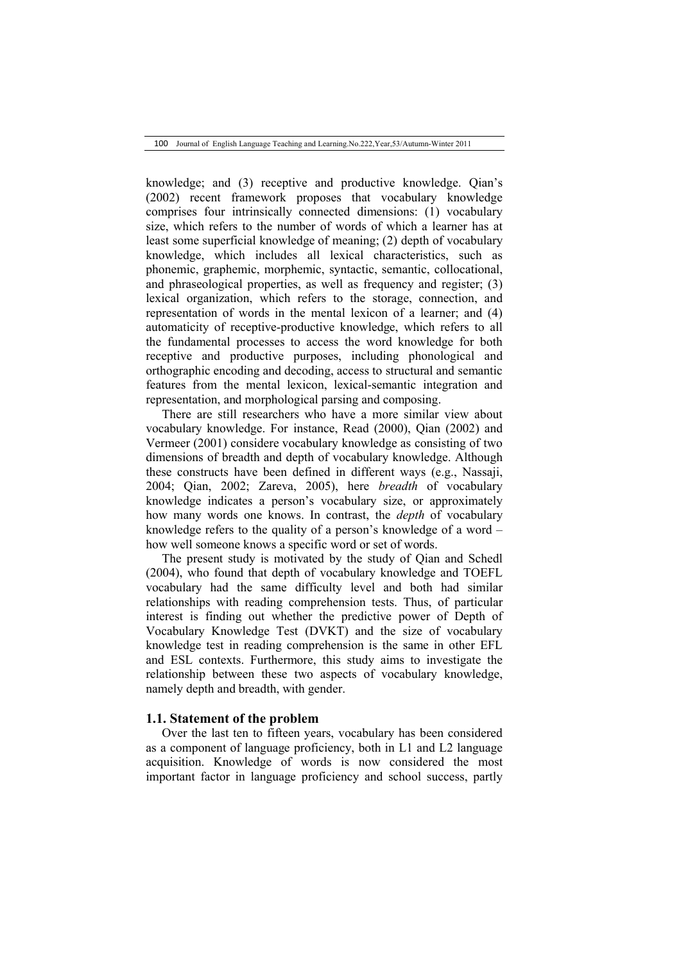knowledge; and (3) receptive and productive knowledge. Qian's (2002) recent framework proposes that vocabulary knowledge comprises four intrinsically connected dimensions: (1) vocabulary size, which refers to the number of words of which a learner has at least some superficial knowledge of meaning; (2) depth of vocabulary knowledge, which includes all lexical characteristics, such as phonemic, graphemic, morphemic, syntactic, semantic, collocational, and phraseological properties, as well as frequency and register; (3) lexical organization, which refers to the storage, connection, and representation of words in the mental lexicon of a learner; and (4) automaticity of receptive-productive knowledge, which refers to all the fundamental processes to access the word knowledge for both receptive and productive purposes, including phonological and orthographic encoding and decoding, access to structural and semantic features from the mental lexicon, lexical-semantic integration and representation, and morphological parsing and composing.

There are still researchers who have a more similar view about vocabulary knowledge. For instance, Read (2000), Qian (2002) and Vermeer (2001) considere vocabulary knowledge as consisting of two dimensions of breadth and depth of vocabulary knowledge. Although these constructs have been defined in different ways (e.g., Nassaji, 2004; Qian, 2002; Zareva, 2005), here *breadth* of vocabulary knowledge indicates a person's vocabulary size, or approximately how many words one knows. In contrast, the *depth* of vocabulary knowledge refers to the quality of a person's knowledge of a word – how well someone knows a specific word or set of words.

The present study is motivated by the study of Qian and Schedl (2004), who found that depth of vocabulary knowledge and TOEFL vocabulary had the same difficulty level and both had similar relationships with reading comprehension tests. Thus, of particular interest is finding out whether the predictive power of Depth of Vocabulary Knowledge Test (DVKT) and the size of vocabulary knowledge test in reading comprehension is the same in other EFL and ESL contexts. Furthermore, this study aims to investigate the relationship between these two aspects of vocabulary knowledge, namely depth and breadth, with gender.

## **1.1. Statement of the problem**

Over the last ten to fifteen years, vocabulary has been considered as a component of language proficiency, both in L1 and L2 language acquisition. Knowledge of words is now considered the most important factor in language proficiency and school success, partly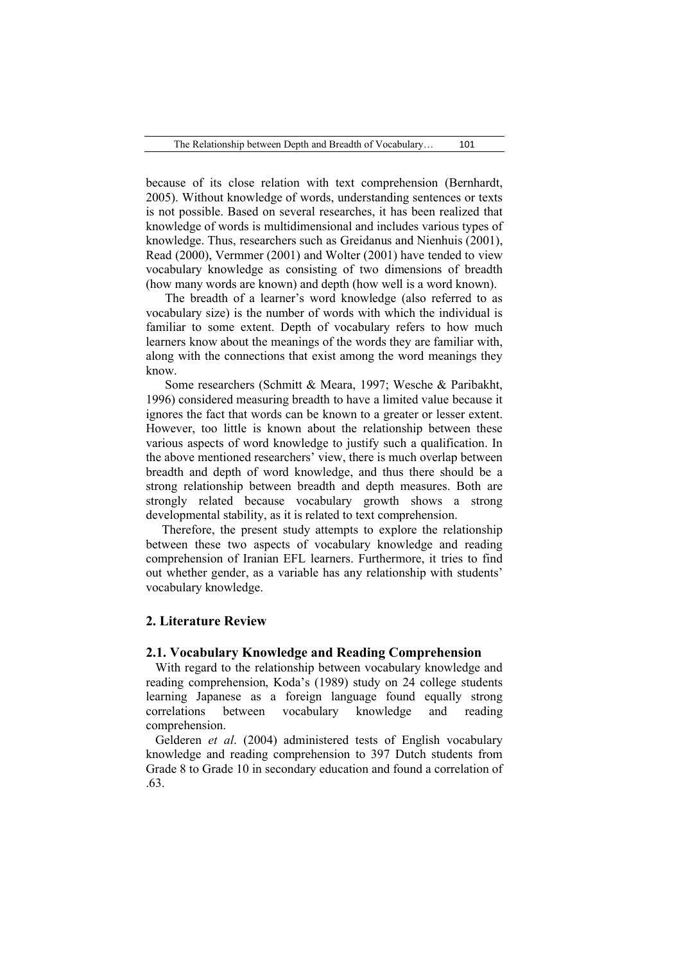because of its close relation with text comprehension (Bernhardt, 2005). Without knowledge of words, understanding sentences or texts is not possible. Based on several researches, it has been realized that knowledge of words is multidimensional and includes various types of knowledge. Thus, researchers such as Greidanus and Nienhuis (2001), Read (2000), Vermmer (2001) and Wolter (2001) have tended to view vocabulary knowledge as consisting of two dimensions of breadth (how many words are known) and depth (how well is a word known).

The breadth of a learner's word knowledge (also referred to as vocabulary size) is the number of words with which the individual is familiar to some extent. Depth of vocabulary refers to how much learners know about the meanings of the words they are familiar with, along with the connections that exist among the word meanings they know.

Some researchers (Schmitt & Meara, 1997; Wesche & Paribakht, 1996) considered measuring breadth to have a limited value because it ignores the fact that words can be known to a greater or lesser extent. However, too little is known about the relationship between these various aspects of word knowledge to justify such a qualification. In the above mentioned researchers' view, there is much overlap between breadth and depth of word knowledge, and thus there should be a strong relationship between breadth and depth measures. Both are strongly related because vocabulary growth shows a strong developmental stability, as it is related to text comprehension.

Therefore, the present study attempts to explore the relationship between these two aspects of vocabulary knowledge and reading comprehension of Iranian EFL learners. Furthermore, it tries to find out whether gender, as a variable has any relationship with students' vocabulary knowledge.

## **2. Literature Review**

#### **2.1. Vocabulary Knowledge and Reading Comprehension**

 With regard to the relationship between vocabulary knowledge and reading comprehension, Koda's (1989) study on 24 college students learning Japanese as a foreign language found equally strong correlations between vocabulary knowledge and reading comprehension.

 Gelderen *et al*. (2004) administered tests of English vocabulary knowledge and reading comprehension to 397 Dutch students from Grade 8 to Grade 10 in secondary education and found a correlation of .63.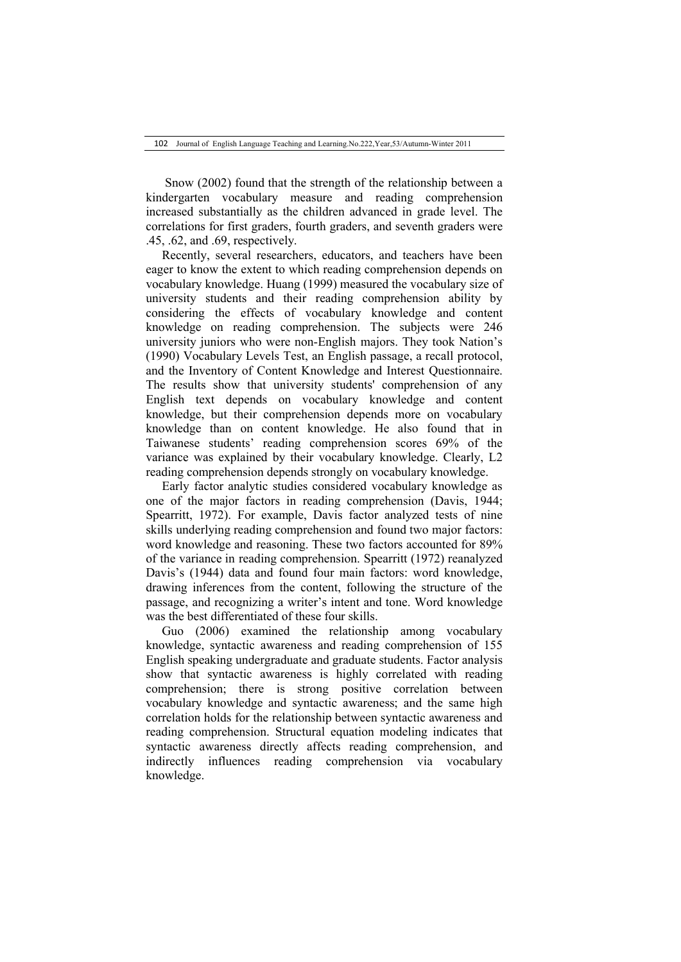Snow (2002) found that the strength of the relationship between a kindergarten vocabulary measure and reading comprehension increased substantially as the children advanced in grade level. The correlations for first graders, fourth graders, and seventh graders were .45, .62, and .69, respectively.

Recently, several researchers, educators, and teachers have been eager to know the extent to which reading comprehension depends on vocabulary knowledge. Huang (1999) measured the vocabulary size of university students and their reading comprehension ability by considering the effects of vocabulary knowledge and content knowledge on reading comprehension. The subjects were 246 university juniors who were non-English majors. They took Nation's (1990) Vocabulary Levels Test, an English passage, a recall protocol, and the Inventory of Content Knowledge and Interest Questionnaire. The results show that university students' comprehension of any English text depends on vocabulary knowledge and content knowledge, but their comprehension depends more on vocabulary knowledge than on content knowledge. He also found that in Taiwanese students' reading comprehension scores 69% of the variance was explained by their vocabulary knowledge. Clearly, L2 reading comprehension depends strongly on vocabulary knowledge.

Early factor analytic studies considered vocabulary knowledge as one of the major factors in reading comprehension (Davis, 1944; Spearritt, 1972). For example, Davis factor analyzed tests of nine skills underlying reading comprehension and found two major factors: word knowledge and reasoning. These two factors accounted for 89% of the variance in reading comprehension. Spearritt (1972) reanalyzed Davis's (1944) data and found four main factors: word knowledge, drawing inferences from the content, following the structure of the passage, and recognizing a writer's intent and tone. Word knowledge was the best differentiated of these four skills.

Guo (2006) examined the relationship among vocabulary knowledge, syntactic awareness and reading comprehension of 155 English speaking undergraduate and graduate students. Factor analysis show that syntactic awareness is highly correlated with reading comprehension; there is strong positive correlation between vocabulary knowledge and syntactic awareness; and the same high correlation holds for the relationship between syntactic awareness and reading comprehension. Structural equation modeling indicates that syntactic awareness directly affects reading comprehension, and indirectly influences reading comprehension via vocabulary knowledge.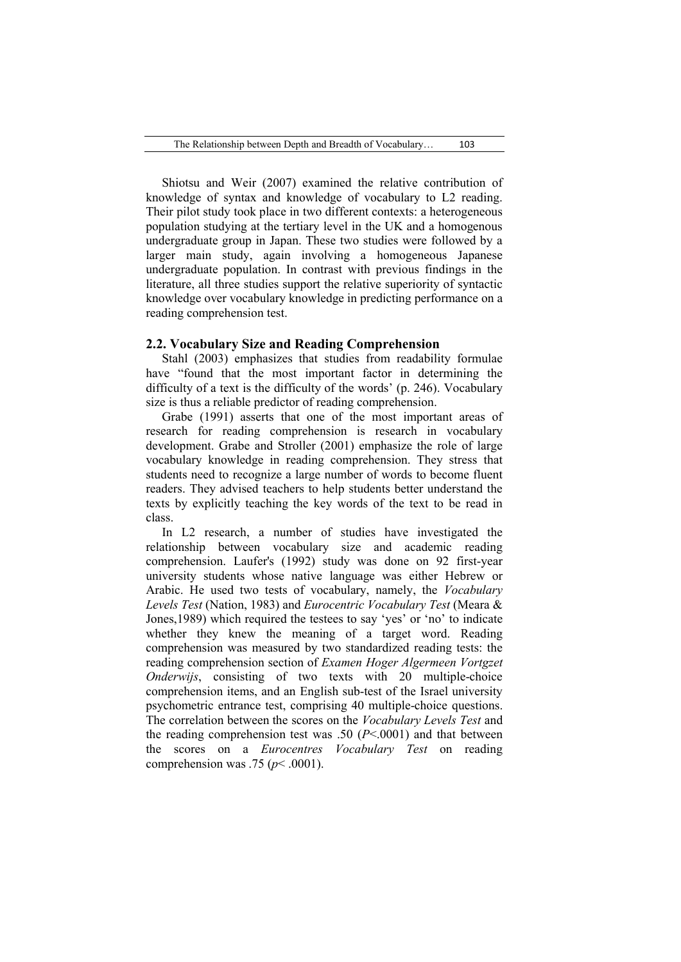Shiotsu and Weir (2007) examined the relative contribution of knowledge of syntax and knowledge of vocabulary to L2 reading. Their pilot study took place in two different contexts: a heterogeneous population studying at the tertiary level in the UK and a homogenous undergraduate group in Japan. These two studies were followed by a larger main study, again involving a homogeneous Japanese undergraduate population. In contrast with previous findings in the literature, all three studies support the relative superiority of syntactic knowledge over vocabulary knowledge in predicting performance on a reading comprehension test.

### **2.2. Vocabulary Size and Reading Comprehension**

Stahl (2003) emphasizes that studies from readability formulae have "found that the most important factor in determining the difficulty of a text is the difficulty of the words' (p. 246). Vocabulary size is thus a reliable predictor of reading comprehension.

Grabe (1991) asserts that one of the most important areas of research for reading comprehension is research in vocabulary development. Grabe and Stroller (2001) emphasize the role of large vocabulary knowledge in reading comprehension. They stress that students need to recognize a large number of words to become fluent readers. They advised teachers to help students better understand the texts by explicitly teaching the key words of the text to be read in class.

In L2 research, a number of studies have investigated the relationship between vocabulary size and academic reading comprehension. Laufer's (1992) study was done on 92 first-year university students whose native language was either Hebrew or Arabic. He used two tests of vocabulary, namely, the *Vocabulary Levels Test* (Nation, 1983) and *Eurocentric Vocabulary Test* (Meara & Jones,1989) which required the testees to say 'yes' or 'no' to indicate whether they knew the meaning of a target word. Reading comprehension was measured by two standardized reading tests: the reading comprehension section of *Examen Hoger Algermeen Vortgzet Onderwijs*, consisting of two texts with 20 multiple-choice comprehension items, and an English sub-test of the Israel university psychometric entrance test, comprising 40 multiple-choice questions. The correlation between the scores on the *Vocabulary Levels Test* and the reading comprehension test was .50 (*P*<.0001) and that between the scores on a *Eurocentres Vocabulary Test* on reading comprehension was .75 ( $p$ < .0001).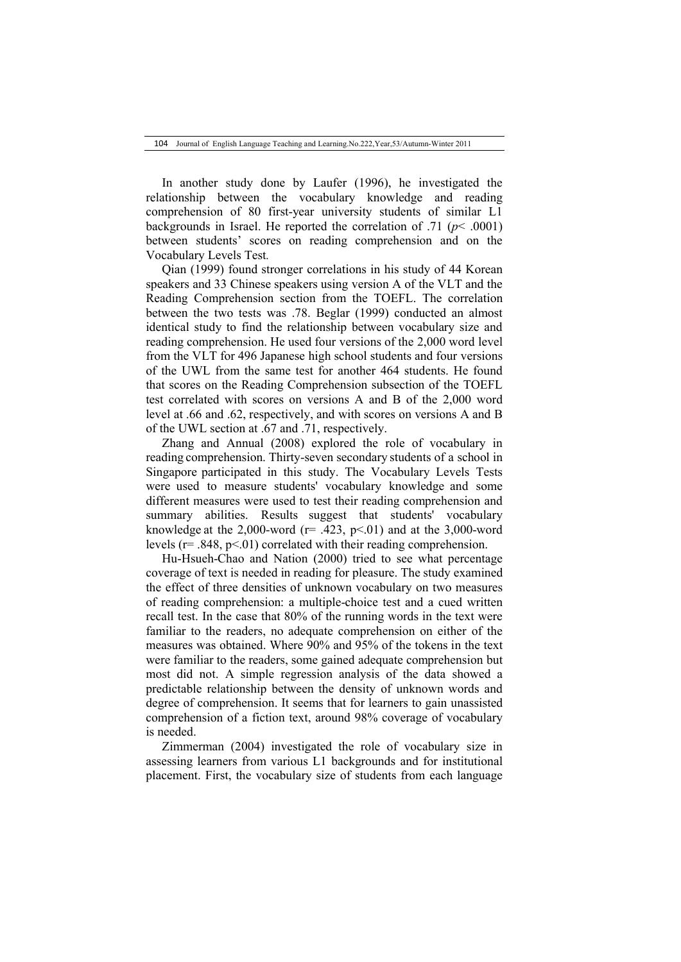In another study done by Laufer (1996), he investigated the relationship between the vocabulary knowledge and reading comprehension of 80 first-year university students of similar L1 backgrounds in Israel. He reported the correlation of  $.71$  ( $p$   $\leq$  .0001) between students' scores on reading comprehension and on the Vocabulary Levels Test*.* 

Qian (1999) found stronger correlations in his study of 44 Korean speakers and 33 Chinese speakers using version A of the VLT and the Reading Comprehension section from the TOEFL. The correlation between the two tests was .78. Beglar (1999) conducted an almost identical study to find the relationship between vocabulary size and reading comprehension. He used four versions of the 2,000 word level from the VLT for 496 Japanese high school students and four versions of the UWL from the same test for another 464 students. He found that scores on the Reading Comprehension subsection of the TOEFL test correlated with scores on versions A and B of the 2,000 word level at .66 and .62, respectively, and with scores on versions A and B of the UWL section at .67 and .71, respectively.

Zhang and Annual (2008) explored the role of vocabulary in reading comprehension. Thirty-seven secondary students of a school in Singapore participated in this study. The Vocabulary Levels Tests were used to measure students' vocabulary knowledge and some different measures were used to test their reading comprehension and summary abilities. Results suggest that students' vocabulary knowledge at the 2,000-word ( $r=$  .423,  $p<$ .01) and at the 3,000-word levels ( $r = .848$ ,  $p < .01$ ) correlated with their reading comprehension.

Hu-Hsueh-Chao and Nation (2000) tried to see what percentage coverage of text is needed in reading for pleasure. The study examined the effect of three densities of unknown vocabulary on two measures of reading comprehension: a multiple-choice test and a cued written recall test. In the case that 80% of the running words in the text were familiar to the readers, no adequate comprehension on either of the measures was obtained. Where 90% and 95% of the tokens in the text were familiar to the readers, some gained adequate comprehension but most did not. A simple regression analysis of the data showed a predictable relationship between the density of unknown words and degree of comprehension. It seems that for learners to gain unassisted comprehension of a fiction text, around 98% coverage of vocabulary is needed.

Zimmerman (2004) investigated the role of vocabulary size in assessing learners from various L1 backgrounds and for institutional placement. First, the vocabulary size of students from each language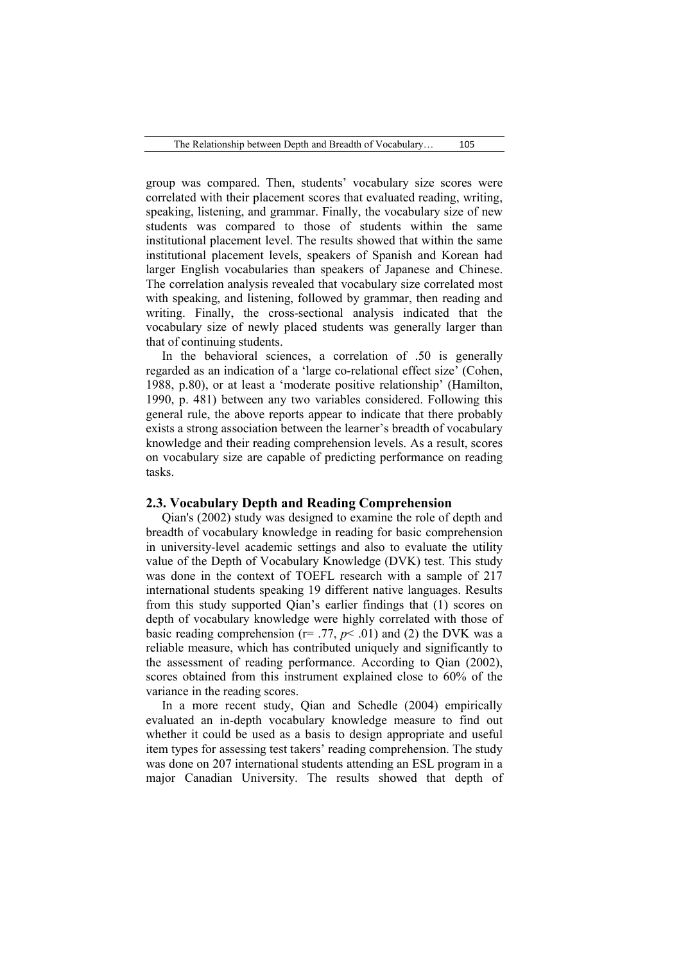group was compared. Then, students' vocabulary size scores were correlated with their placement scores that evaluated reading, writing, speaking, listening, and grammar. Finally, the vocabulary size of new students was compared to those of students within the same institutional placement level. The results showed that within the same institutional placement levels, speakers of Spanish and Korean had larger English vocabularies than speakers of Japanese and Chinese. The correlation analysis revealed that vocabulary size correlated most with speaking, and listening, followed by grammar, then reading and writing. Finally, the cross-sectional analysis indicated that the vocabulary size of newly placed students was generally larger than that of continuing students.

In the behavioral sciences, a correlation of .50 is generally regarded as an indication of a 'large co-relational effect size' (Cohen, 1988, p.80), or at least a 'moderate positive relationship' (Hamilton, 1990, p. 481) between any two variables considered. Following this general rule, the above reports appear to indicate that there probably exists a strong association between the learner's breadth of vocabulary knowledge and their reading comprehension levels. As a result, scores on vocabulary size are capable of predicting performance on reading tasks.

#### **2.3. Vocabulary Depth and Reading Comprehension**

Qian's (2002) study was designed to examine the role of depth and breadth of vocabulary knowledge in reading for basic comprehension in university-level academic settings and also to evaluate the utility value of the Depth of Vocabulary Knowledge (DVK) test. This study was done in the context of TOEFL research with a sample of 217 international students speaking 19 different native languages. Results from this study supported Qian's earlier findings that (1) scores on depth of vocabulary knowledge were highly correlated with those of basic reading comprehension ( $r = .77$ ,  $p < .01$ ) and (2) the DVK was a reliable measure, which has contributed uniquely and significantly to the assessment of reading performance. According to Qian (2002), scores obtained from this instrument explained close to 60% of the variance in the reading scores.

In a more recent study, Qian and Schedle (2004) empirically evaluated an in-depth vocabulary knowledge measure to find out whether it could be used as a basis to design appropriate and useful item types for assessing test takers' reading comprehension. The study was done on 207 international students attending an ESL program in a major Canadian University. The results showed that depth of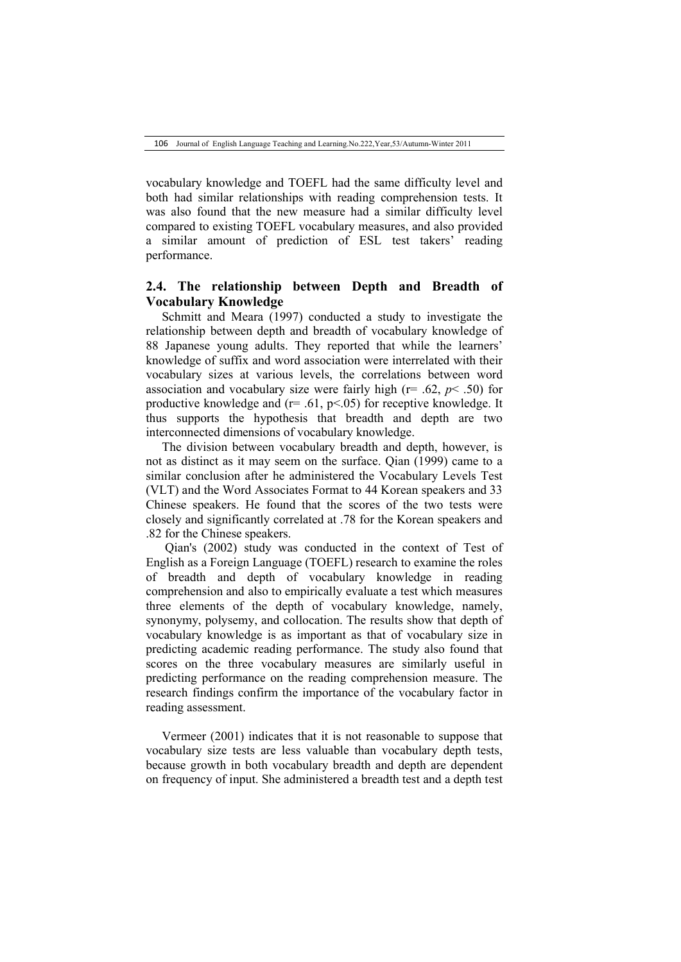vocabulary knowledge and TOEFL had the same difficulty level and both had similar relationships with reading comprehension tests. It was also found that the new measure had a similar difficulty level compared to existing TOEFL vocabulary measures, and also provided a similar amount of prediction of ESL test takers' reading performance.

# **2.4. The relationship between Depth and Breadth of Vocabulary Knowledge**

Schmitt and Meara (1997) conducted a study to investigate the relationship between depth and breadth of vocabulary knowledge of 88 Japanese young adults. They reported that while the learners' knowledge of suffix and word association were interrelated with their vocabulary sizes at various levels, the correlations between word association and vocabulary size were fairly high ( $r = .62$ ,  $p < .50$ ) for productive knowledge and  $(r=.61, p<.05)$  for receptive knowledge. It thus supports the hypothesis that breadth and depth are two interconnected dimensions of vocabulary knowledge.

The division between vocabulary breadth and depth, however, is not as distinct as it may seem on the surface. Qian (1999) came to a similar conclusion after he administered the Vocabulary Levels Test (VLT) and the Word Associates Format to 44 Korean speakers and 33 Chinese speakers. He found that the scores of the two tests were closely and significantly correlated at .78 for the Korean speakers and .82 for the Chinese speakers.

Qian's (2002) study was conducted in the context of Test of English as a Foreign Language (TOEFL) research to examine the roles of breadth and depth of vocabulary knowledge in reading comprehension and also to empirically evaluate a test which measures three elements of the depth of vocabulary knowledge, namely, synonymy, polysemy, and collocation. The results show that depth of vocabulary knowledge is as important as that of vocabulary size in predicting academic reading performance. The study also found that scores on the three vocabulary measures are similarly useful in predicting performance on the reading comprehension measure. The research findings confirm the importance of the vocabulary factor in reading assessment.

Vermeer (2001) indicates that it is not reasonable to suppose that vocabulary size tests are less valuable than vocabulary depth tests, because growth in both vocabulary breadth and depth are dependent on frequency of input. She administered a breadth test and a depth test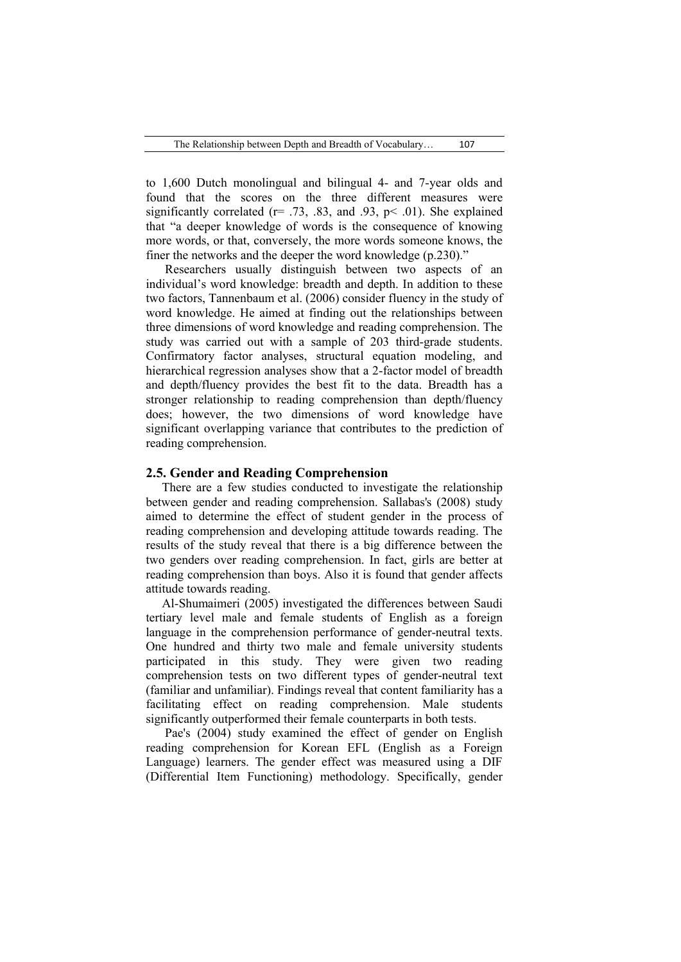to 1,600 Dutch monolingual and bilingual 4- and 7-year olds and found that the scores on the three different measures were significantly correlated ( $r = .73, .83,$  and  $.93, p < .01$ ). She explained that "a deeper knowledge of words is the consequence of knowing more words, or that, conversely, the more words someone knows, the finer the networks and the deeper the word knowledge (p.230)."

Researchers usually distinguish between two aspects of an individual's word knowledge: breadth and depth. In addition to these two factors, Tannenbaum et al. (2006) consider fluency in the study of word knowledge. He aimed at finding out the relationships between three dimensions of word knowledge and reading comprehension. The study was carried out with a sample of 203 third-grade students. Confirmatory factor analyses, structural equation modeling, and hierarchical regression analyses show that a 2-factor model of breadth and depth/fluency provides the best fit to the data. Breadth has a stronger relationship to reading comprehension than depth/fluency does; however, the two dimensions of word knowledge have significant overlapping variance that contributes to the prediction of reading comprehension.

## **2.5. Gender and Reading Comprehension**

There are a few studies conducted to investigate the relationship between gender and reading comprehension. Sallabas's (2008) study aimed to determine the effect of student gender in the process of reading comprehension and developing attitude towards reading. The results of the study reveal that there is a big difference between the two genders over reading comprehension. In fact, girls are better at reading comprehension than boys. Also it is found that gender affects attitude towards reading.

Al-Shumaimeri (2005) investigated the differences between Saudi tertiary level male and female students of English as a foreign language in the comprehension performance of gender-neutral texts. One hundred and thirty two male and female university students participated in this study. They were given two reading comprehension tests on two different types of gender-neutral text (familiar and unfamiliar). Findings reveal that content familiarity has a facilitating effect on reading comprehension. Male students significantly outperformed their female counterparts in both tests.

Pae's (2004) study examined the effect of gender on English reading comprehension for Korean EFL (English as a Foreign Language) learners. The gender effect was measured using a DIF (Differential Item Functioning) methodology. Specifically, gender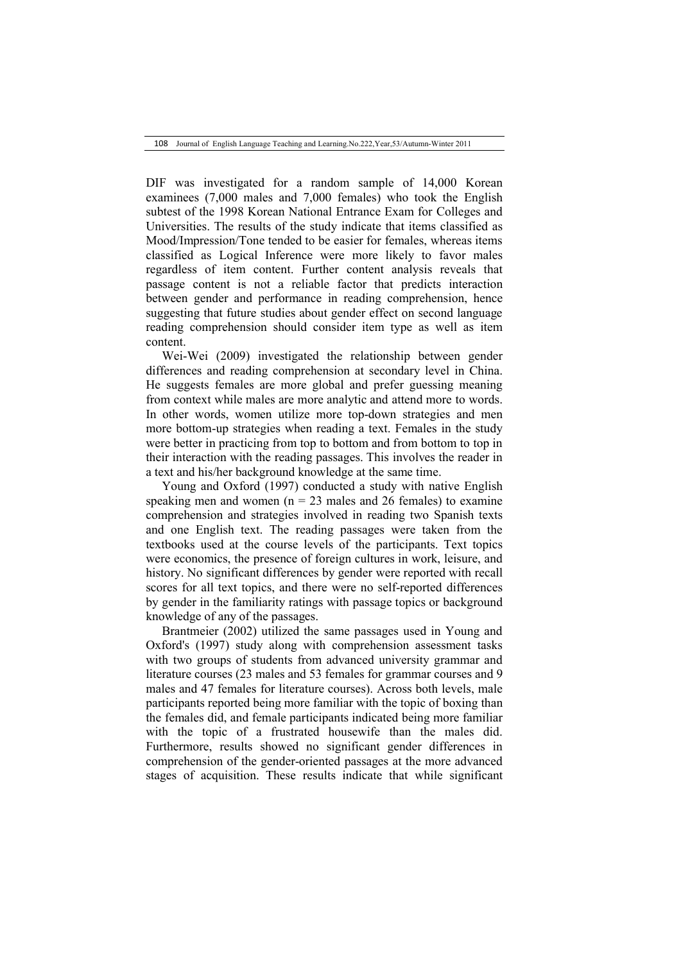108 Journal of English Language Teaching and Learning.No.222,Year,53/Autumn-Winter 2011

DIF was investigated for a random sample of 14,000 Korean examinees (7,000 males and 7,000 females) who took the English subtest of the 1998 Korean National Entrance Exam for Colleges and Universities. The results of the study indicate that items classified as Mood/Impression/Tone tended to be easier for females, whereas items classified as Logical Inference were more likely to favor males regardless of item content. Further content analysis reveals that passage content is not a reliable factor that predicts interaction between gender and performance in reading comprehension, hence suggesting that future studies about gender effect on second language reading comprehension should consider item type as well as item content.

Wei-Wei (2009) investigated the relationship between gender differences and reading comprehension at secondary level in China. He suggests females are more global and prefer guessing meaning from context while males are more analytic and attend more to words. In other words, women utilize more top-down strategies and men more bottom-up strategies when reading a text. Females in the study were better in practicing from top to bottom and from bottom to top in their interaction with the reading passages. This involves the reader in a text and his/her background knowledge at the same time.

Young and Oxford (1997) conducted a study with native English speaking men and women ( $n = 23$  males and 26 females) to examine comprehension and strategies involved in reading two Spanish texts and one English text. The reading passages were taken from the textbooks used at the course levels of the participants. Text topics were economics, the presence of foreign cultures in work, leisure, and history. No significant differences by gender were reported with recall scores for all text topics, and there were no self-reported differences by gender in the familiarity ratings with passage topics or background knowledge of any of the passages.

Brantmeier (2002) utilized the same passages used in Young and Oxford's (1997) study along with comprehension assessment tasks with two groups of students from advanced university grammar and literature courses (23 males and 53 females for grammar courses and 9 males and 47 females for literature courses). Across both levels, male participants reported being more familiar with the topic of boxing than the females did, and female participants indicated being more familiar with the topic of a frustrated housewife than the males did. Furthermore, results showed no significant gender differences in comprehension of the gender-oriented passages at the more advanced stages of acquisition. These results indicate that while significant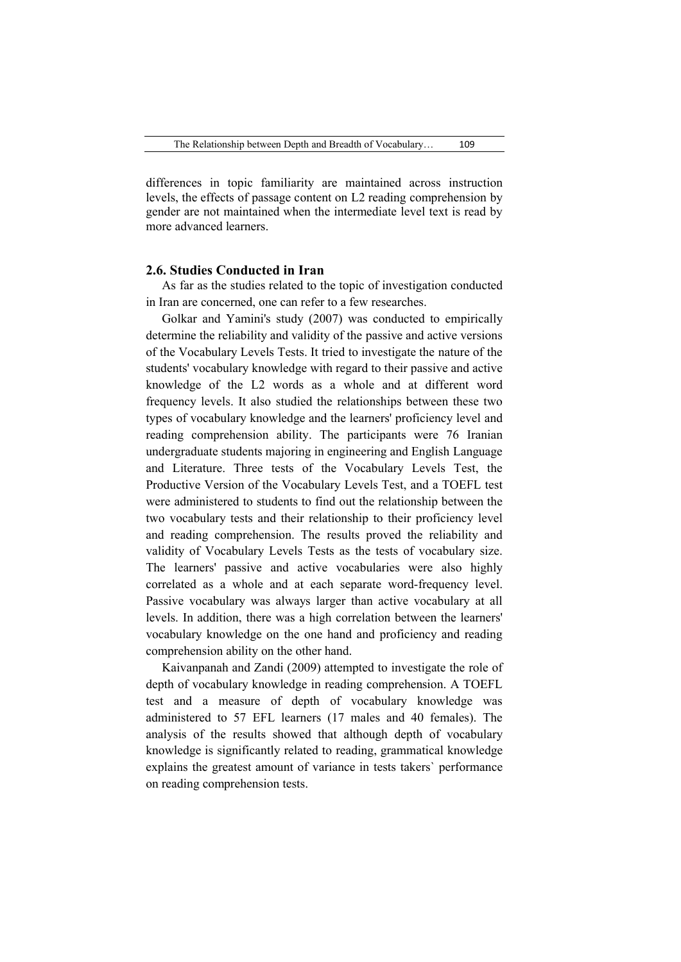differences in topic familiarity are maintained across instruction levels, the effects of passage content on L2 reading comprehension by gender are not maintained when the intermediate level text is read by more advanced learners.

## **2.6. Studies Conducted in Iran**

As far as the studies related to the topic of investigation conducted in Iran are concerned, one can refer to a few researches.

Golkar and Yamini's study (2007) was conducted to empirically determine the reliability and validity of the passive and active versions of the Vocabulary Levels Tests. It tried to investigate the nature of the students' vocabulary knowledge with regard to their passive and active knowledge of the L2 words as a whole and at different word frequency levels. It also studied the relationships between these two types of vocabulary knowledge and the learners' proficiency level and reading comprehension ability. The participants were 76 Iranian undergraduate students majoring in engineering and English Language and Literature. Three tests of the Vocabulary Levels Test, the Productive Version of the Vocabulary Levels Test, and a TOEFL test were administered to students to find out the relationship between the two vocabulary tests and their relationship to their proficiency level and reading comprehension. The results proved the reliability and validity of Vocabulary Levels Tests as the tests of vocabulary size. The learners' passive and active vocabularies were also highly correlated as a whole and at each separate word-frequency level. Passive vocabulary was always larger than active vocabulary at all levels. In addition, there was a high correlation between the learners' vocabulary knowledge on the one hand and proficiency and reading comprehension ability on the other hand.

Kaivanpanah and Zandi (2009) attempted to investigate the role of depth of vocabulary knowledge in reading comprehension. A TOEFL test and a measure of depth of vocabulary knowledge was administered to 57 EFL learners (17 males and 40 females). The analysis of the results showed that although depth of vocabulary knowledge is significantly related to reading, grammatical knowledge explains the greatest amount of variance in tests takers` performance on reading comprehension tests.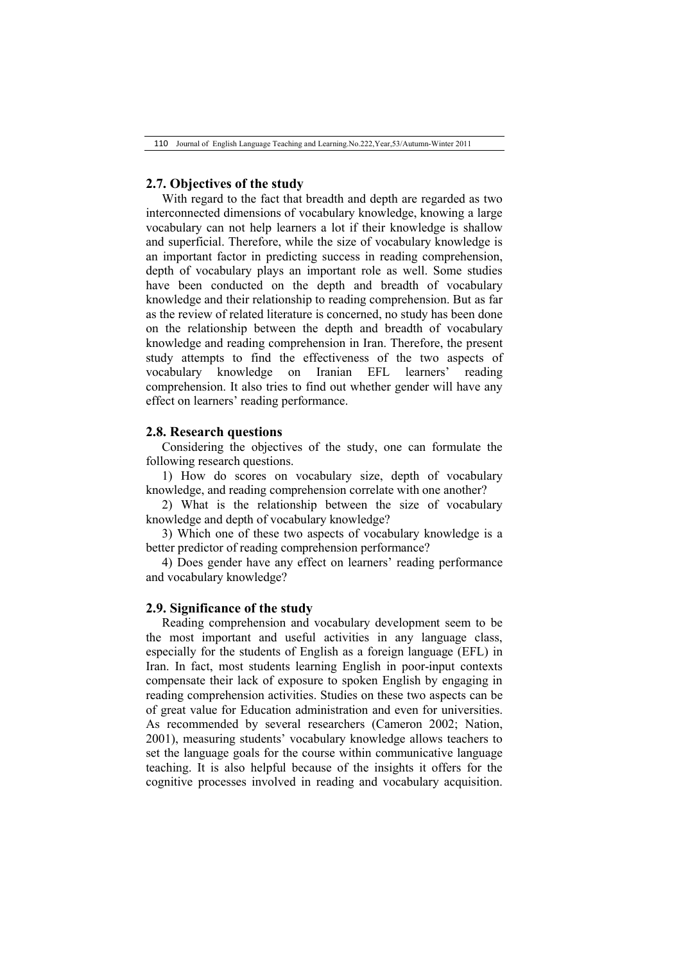## **2.7. Objectives of the study**

With regard to the fact that breadth and depth are regarded as two interconnected dimensions of vocabulary knowledge, knowing a large vocabulary can not help learners a lot if their knowledge is shallow and superficial. Therefore, while the size of vocabulary knowledge is an important factor in predicting success in reading comprehension, depth of vocabulary plays an important role as well. Some studies have been conducted on the depth and breadth of vocabulary knowledge and their relationship to reading comprehension. But as far as the review of related literature is concerned, no study has been done on the relationship between the depth and breadth of vocabulary knowledge and reading comprehension in Iran. Therefore, the present study attempts to find the effectiveness of the two aspects of vocabulary knowledge on Iranian EFL learners' reading comprehension. It also tries to find out whether gender will have any effect on learners' reading performance.

## **2.8. Research questions**

Considering the objectives of the study, one can formulate the following research questions.

1) How do scores on vocabulary size, depth of vocabulary knowledge, and reading comprehension correlate with one another?

2) What is the relationship between the size of vocabulary knowledge and depth of vocabulary knowledge?

3) Which one of these two aspects of vocabulary knowledge is a better predictor of reading comprehension performance?

4) Does gender have any effect on learners' reading performance and vocabulary knowledge?

#### **2.9. Significance of the study**

Reading comprehension and vocabulary development seem to be the most important and useful activities in any language class, especially for the students of English as a foreign language (EFL) in Iran. In fact, most students learning English in poor-input contexts compensate their lack of exposure to spoken English by engaging in reading comprehension activities. Studies on these two aspects can be of great value for Education administration and even for universities. As recommended by several researchers (Cameron 2002; Nation, 2001), measuring students' vocabulary knowledge allows teachers to set the language goals for the course within communicative language teaching. It is also helpful because of the insights it offers for the cognitive processes involved in reading and vocabulary acquisition.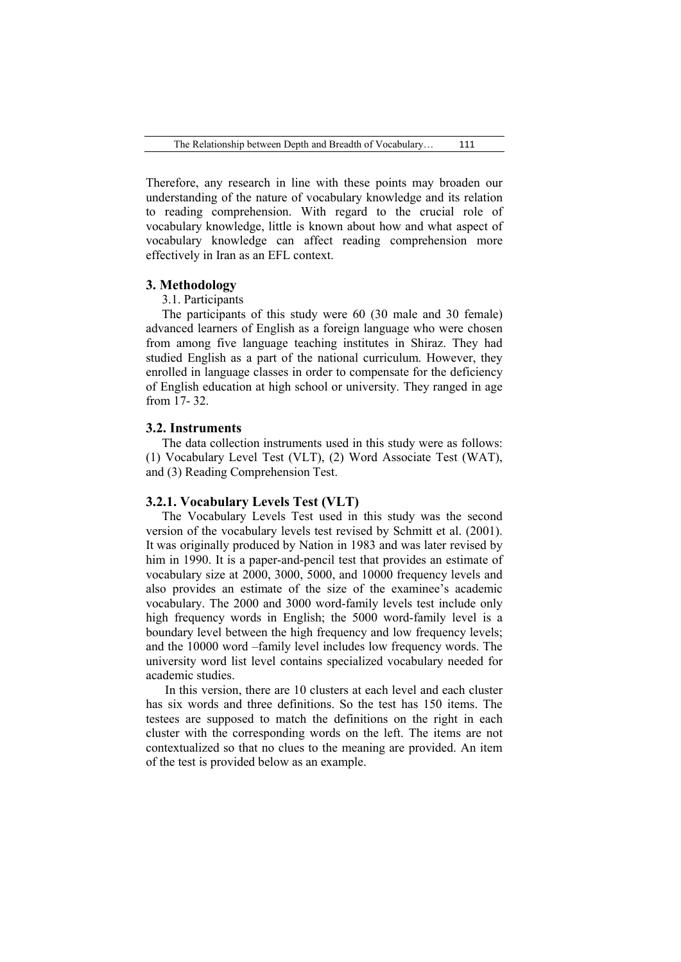Therefore, any research in line with these points may broaden our understanding of the nature of vocabulary knowledge and its relation to reading comprehension. With regard to the crucial role of vocabulary knowledge, little is known about how and what aspect of vocabulary knowledge can affect reading comprehension more effectively in Iran as an EFL context.

### **3. Methodology**

#### 3.1. Participants

The participants of this study were 60 (30 male and 30 female) advanced learners of English as a foreign language who were chosen from among five language teaching institutes in Shiraz. They had studied English as a part of the national curriculum. However, they enrolled in language classes in order to compensate for the deficiency of English education at high school or university. They ranged in age from 17- 32.

#### **3.2. Instruments**

The data collection instruments used in this study were as follows: (1) Vocabulary Level Test (VLT), (2) Word Associate Test (WAT), and (3) Reading Comprehension Test.

### **3.2.1. Vocabulary Levels Test (VLT)**

The Vocabulary Levels Test used in this study was the second version of the vocabulary levels test revised by Schmitt et al. (2001). It was originally produced by Nation in 1983 and was later revised by him in 1990. It is a paper-and-pencil test that provides an estimate of vocabulary size at 2000, 3000, 5000, and 10000 frequency levels and also provides an estimate of the size of the examinee's academic vocabulary. The 2000 and 3000 word-family levels test include only high frequency words in English; the 5000 word-family level is a boundary level between the high frequency and low frequency levels; and the 10000 word –family level includes low frequency words. The university word list level contains specialized vocabulary needed for academic studies.

In this version, there are 10 clusters at each level and each cluster has six words and three definitions. So the test has 150 items. The testees are supposed to match the definitions on the right in each cluster with the corresponding words on the left. The items are not contextualized so that no clues to the meaning are provided. An item of the test is provided below as an example.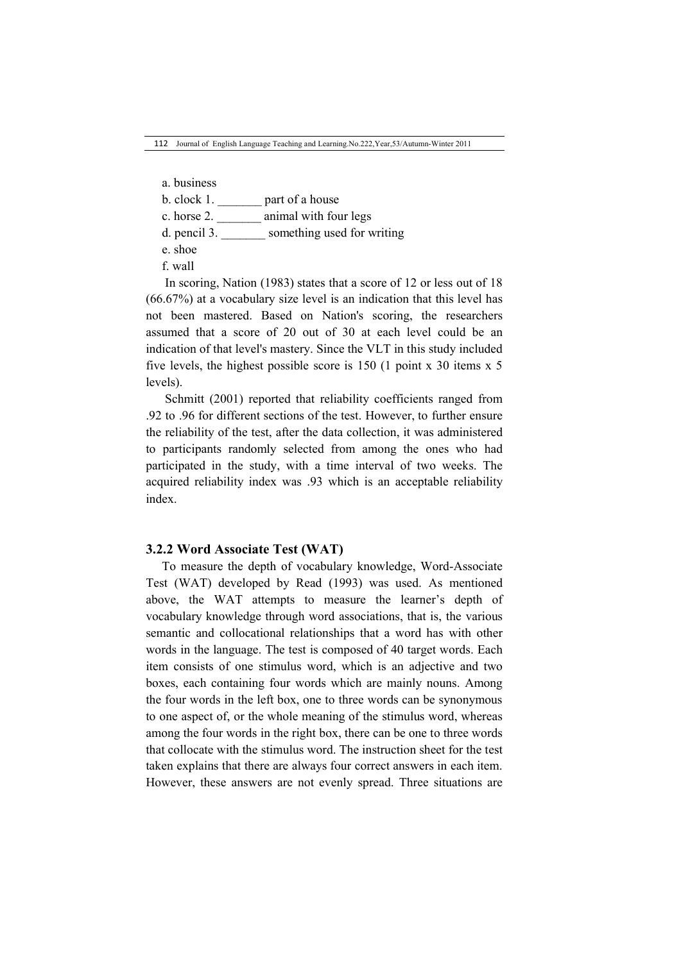- a. business
- b. clock 1. \_\_\_\_\_\_\_ part of a house
- c. horse 2. \_\_\_\_\_\_\_ animal with four legs
- d. pencil 3. \_\_\_\_\_\_\_ something used for writing
- e. shoe
- f. wall

In scoring, Nation (1983) states that a score of 12 or less out of 18 (66.67%) at a vocabulary size level is an indication that this level has not been mastered. Based on Nation's scoring, the researchers assumed that a score of 20 out of 30 at each level could be an indication of that level's mastery. Since the VLT in this study included five levels, the highest possible score is 150 (1 point x 30 items x 5 levels).

Schmitt (2001) reported that reliability coefficients ranged from .92 to .96 for different sections of the test. However, to further ensure the reliability of the test, after the data collection, it was administered to participants randomly selected from among the ones who had participated in the study, with a time interval of two weeks. The acquired reliability index was .93 which is an acceptable reliability index.

#### **3.2.2 Word Associate Test (WAT)**

To measure the depth of vocabulary knowledge, Word-Associate Test (WAT) developed by Read (1993) was used. As mentioned above, the WAT attempts to measure the learner's depth of vocabulary knowledge through word associations, that is, the various semantic and collocational relationships that a word has with other words in the language. The test is composed of 40 target words. Each item consists of one stimulus word, which is an adjective and two boxes, each containing four words which are mainly nouns. Among the four words in the left box, one to three words can be synonymous to one aspect of, or the whole meaning of the stimulus word, whereas among the four words in the right box, there can be one to three words that collocate with the stimulus word. The instruction sheet for the test taken explains that there are always four correct answers in each item. However, these answers are not evenly spread. Three situations are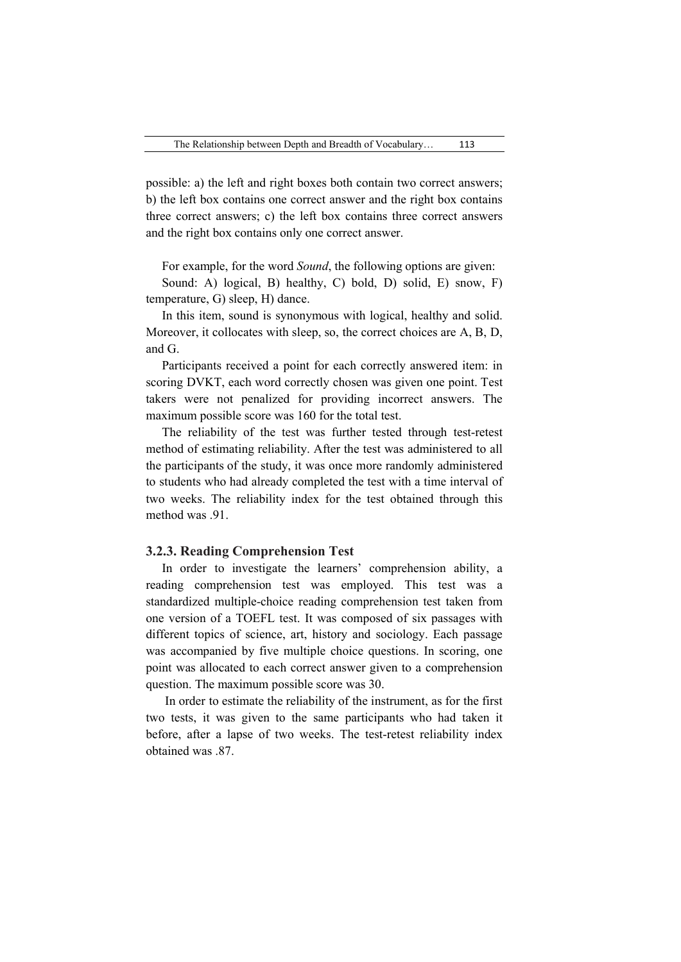possible: a) the left and right boxes both contain two correct answers; b) the left box contains one correct answer and the right box contains three correct answers; c) the left box contains three correct answers and the right box contains only one correct answer.

For example, for the word *Sound*, the following options are given:

Sound: A) logical, B) healthy, C) bold, D) solid, E) snow, F) temperature, G) sleep, H) dance.

In this item, sound is synonymous with logical, healthy and solid. Moreover, it collocates with sleep, so, the correct choices are A, B, D, and G.

Participants received a point for each correctly answered item: in scoring DVKT, each word correctly chosen was given one point. Test takers were not penalized for providing incorrect answers. The maximum possible score was 160 for the total test.

The reliability of the test was further tested through test-retest method of estimating reliability. After the test was administered to all the participants of the study, it was once more randomly administered to students who had already completed the test with a time interval of two weeks. The reliability index for the test obtained through this method was 91

#### **3.2.3. Reading Comprehension Test**

In order to investigate the learners' comprehension ability, a reading comprehension test was employed. This test was a standardized multiple-choice reading comprehension test taken from one version of a TOEFL test. It was composed of six passages with different topics of science, art, history and sociology. Each passage was accompanied by five multiple choice questions. In scoring, one point was allocated to each correct answer given to a comprehension question. The maximum possible score was 30.

In order to estimate the reliability of the instrument, as for the first two tests, it was given to the same participants who had taken it before, after a lapse of two weeks. The test-retest reliability index obtained was 87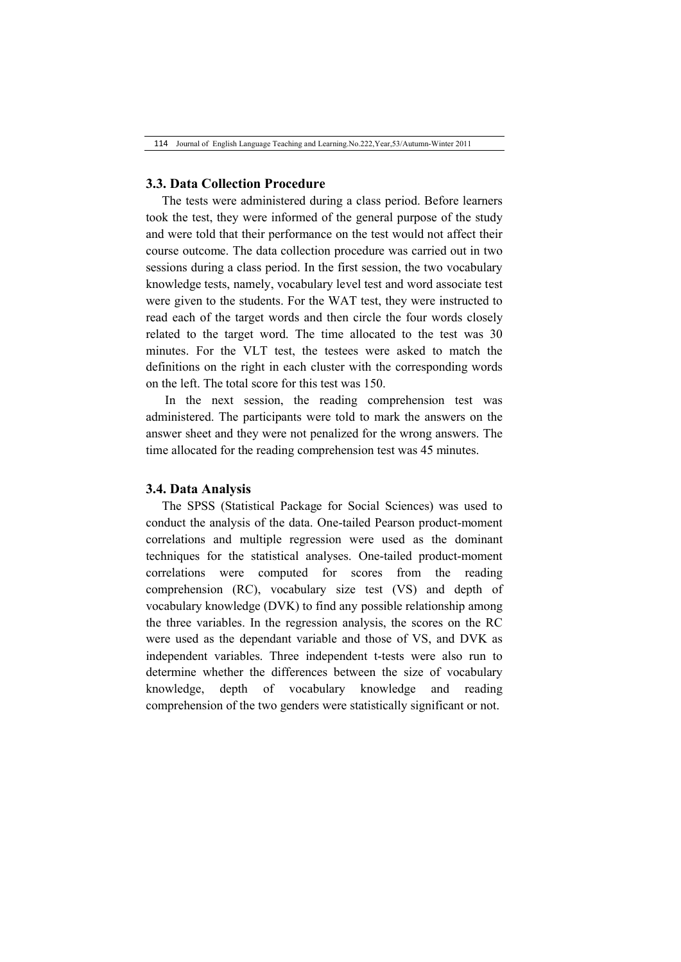## **3.3. Data Collection Procedure**

The tests were administered during a class period. Before learners took the test, they were informed of the general purpose of the study and were told that their performance on the test would not affect their course outcome. The data collection procedure was carried out in two sessions during a class period. In the first session, the two vocabulary knowledge tests, namely, vocabulary level test and word associate test were given to the students. For the WAT test, they were instructed to read each of the target words and then circle the four words closely related to the target word. The time allocated to the test was 30 minutes. For the VLT test, the testees were asked to match the definitions on the right in each cluster with the corresponding words on the left. The total score for this test was 150.

In the next session, the reading comprehension test was administered. The participants were told to mark the answers on the answer sheet and they were not penalized for the wrong answers. The time allocated for the reading comprehension test was 45 minutes.

### **3.4. Data Analysis**

The SPSS (Statistical Package for Social Sciences) was used to conduct the analysis of the data. One-tailed Pearson product-moment correlations and multiple regression were used as the dominant techniques for the statistical analyses. One-tailed product-moment correlations were computed for scores from the reading comprehension (RC), vocabulary size test (VS) and depth of vocabulary knowledge (DVK) to find any possible relationship among the three variables. In the regression analysis, the scores on the RC were used as the dependant variable and those of VS, and DVK as independent variables. Three independent t-tests were also run to determine whether the differences between the size of vocabulary knowledge, depth of vocabulary knowledge and reading comprehension of the two genders were statistically significant or not.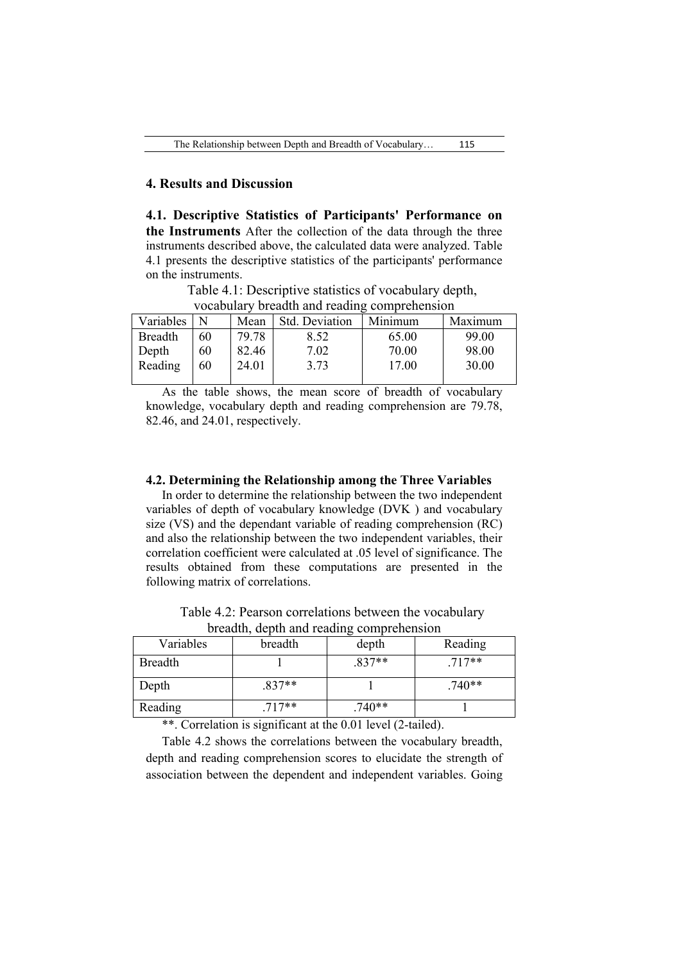## **4. Results and Discussion**

**4.1. Descriptive Statistics of Participants' Performance on the Instruments** After the collection of the data through the three instruments described above, the calculated data were analyzed. Table 4.1 presents the descriptive statistics of the participants' performance on the instruments.

Table 4.1: Descriptive statistics of vocabulary depth, vocabulary breadth and reading comprehension

| Variables      | N  | Mean  | Std. Deviation | Minimum | Maximum |
|----------------|----|-------|----------------|---------|---------|
| <b>Breadth</b> | 60 | 79.78 | 8.52           | 65.00   | 99.00   |
| Depth          | 60 | 82.46 | 7.02           | 70.00   | 98.00   |
| Reading        | 60 | 24.01 | 3.73           | 17.00   | 30.00   |
|                |    |       |                |         |         |

As the table shows, the mean score of breadth of vocabulary knowledge, vocabulary depth and reading comprehension are 79.78, 82.46, and 24.01, respectively.

## **4.2. Determining the Relationship among the Three Variables**

In order to determine the relationship between the two independent variables of depth of vocabulary knowledge (DVK ) and vocabulary size (VS) and the dependant variable of reading comprehension (RC) and also the relationship between the two independent variables, their correlation coefficient were calculated at .05 level of significance. The results obtained from these computations are presented in the following matrix of correlations.

Table 4.2: Pearson correlations between the vocabulary breadth, depth and reading comprehension

| Variables      | breadth  | depth    | Reading  |
|----------------|----------|----------|----------|
| <b>Breadth</b> |          | $.837**$ | $.717**$ |
| Depth          | $.837**$ |          | $.740**$ |
| Reading        | $.717**$ | $.740**$ |          |

\*\*. Correlation is significant at the 0.01 level (2-tailed).

Table 4.2 shows the correlations between the vocabulary breadth, depth and reading comprehension scores to elucidate the strength of association between the dependent and independent variables. Going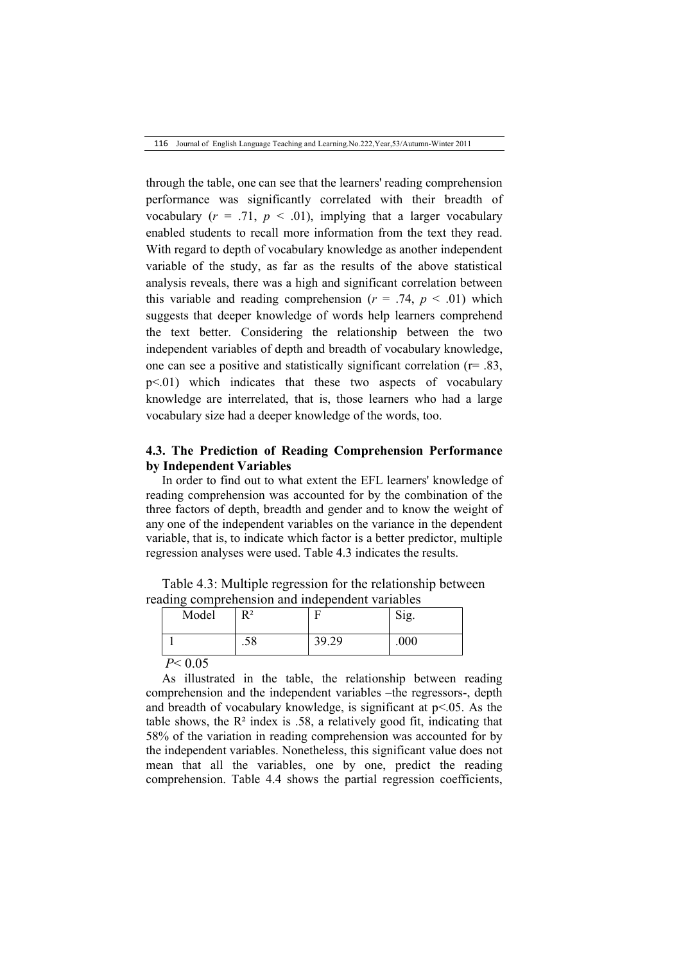116 Journal of English Language Teaching and Learning.No.222,Year,53/Autumn-Winter 2011

through the table, one can see that the learners' reading comprehension performance was significantly correlated with their breadth of vocabulary  $(r = .71, p < .01)$ , implying that a larger vocabulary enabled students to recall more information from the text they read. With regard to depth of vocabulary knowledge as another independent variable of the study, as far as the results of the above statistical analysis reveals, there was a high and significant correlation between this variable and reading comprehension  $(r = .74, p < .01)$  which suggests that deeper knowledge of words help learners comprehend the text better. Considering the relationship between the two independent variables of depth and breadth of vocabulary knowledge, one can see a positive and statistically significant correlation (r= .83,  $p\leq 01$ ) which indicates that these two aspects of vocabulary knowledge are interrelated, that is, those learners who had a large vocabulary size had a deeper knowledge of the words, too.

## **4.3. The Prediction of Reading Comprehension Performance by Independent Variables**

In order to find out to what extent the EFL learners' knowledge of reading comprehension was accounted for by the combination of the three factors of depth, breadth and gender and to know the weight of any one of the independent variables on the variance in the dependent variable, that is, to indicate which factor is a better predictor, multiple regression analyses were used. Table 4.3 indicates the results.

Table 4.3: Multiple regression for the relationship between reading comprehension and independent variables

| Model           | R <sup>2</sup> |       | Sig. |
|-----------------|----------------|-------|------|
|                 | .58            | 39.29 | .000 |
| $D \times 0.05$ |                |       |      |

*P*< 0.05

As illustrated in the table, the relationship between reading comprehension and the independent variables –the regressors-, depth and breadth of vocabulary knowledge, is significant at  $p<05$ . As the table shows, the  $\mathbb{R}^2$  index is .58, a relatively good fit, indicating that 58% of the variation in reading comprehension was accounted for by the independent variables. Nonetheless, this significant value does not mean that all the variables, one by one, predict the reading comprehension. Table 4.4 shows the partial regression coefficients,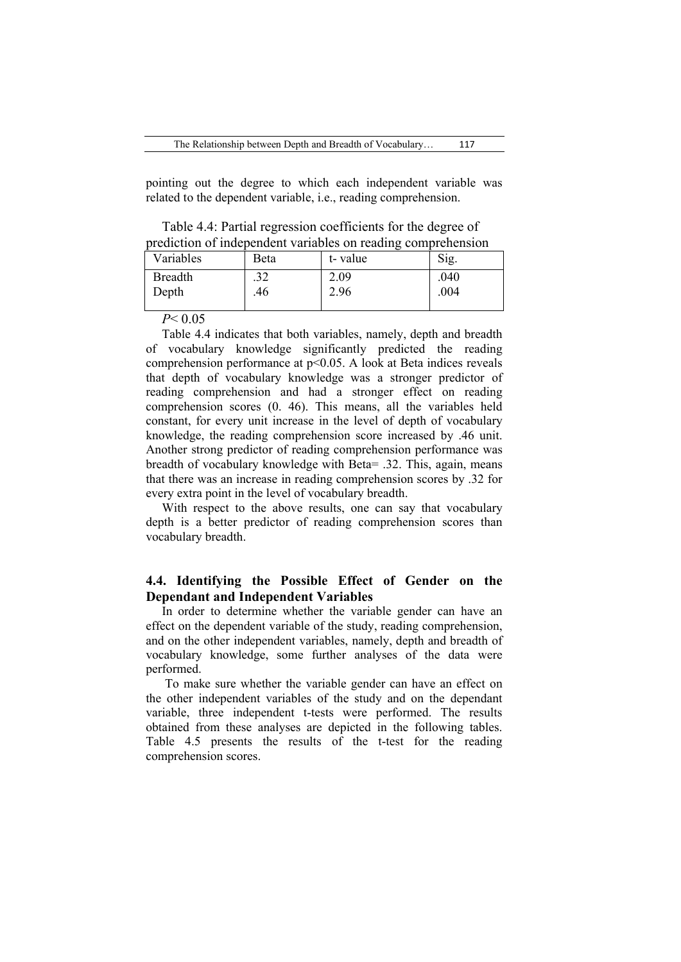pointing out the degree to which each independent variable was related to the dependent variable, i.e., reading comprehension.

Table 4.4: Partial regression coefficients for the degree of prediction of independent variables on reading comprehension

| Variables               | Beta       | t-value      | Sig.         |
|-------------------------|------------|--------------|--------------|
| <b>Breadth</b><br>Depth | .32<br>.46 | 2.09<br>2.96 | .040<br>.004 |
| $P \cdot \cap \cap P$   |            |              |              |

*P*< 0.05

Table 4.4 indicates that both variables, namely, depth and breadth of vocabulary knowledge significantly predicted the reading comprehension performance at p<0.05. A look at Beta indices reveals that depth of vocabulary knowledge was a stronger predictor of reading comprehension and had a stronger effect on reading comprehension scores (0. 46). This means, all the variables held constant, for every unit increase in the level of depth of vocabulary knowledge, the reading comprehension score increased by .46 unit. Another strong predictor of reading comprehension performance was breadth of vocabulary knowledge with Beta= .32. This, again, means that there was an increase in reading comprehension scores by .32 for every extra point in the level of vocabulary breadth.

With respect to the above results, one can say that vocabulary depth is a better predictor of reading comprehension scores than vocabulary breadth.

# **4.4. Identifying the Possible Effect of Gender on the Dependant and Independent Variables**

In order to determine whether the variable gender can have an effect on the dependent variable of the study, reading comprehension, and on the other independent variables, namely, depth and breadth of vocabulary knowledge, some further analyses of the data were performed.

To make sure whether the variable gender can have an effect on the other independent variables of the study and on the dependant variable, three independent t-tests were performed. The results obtained from these analyses are depicted in the following tables. Table 4.5 presents the results of the t-test for the reading comprehension scores.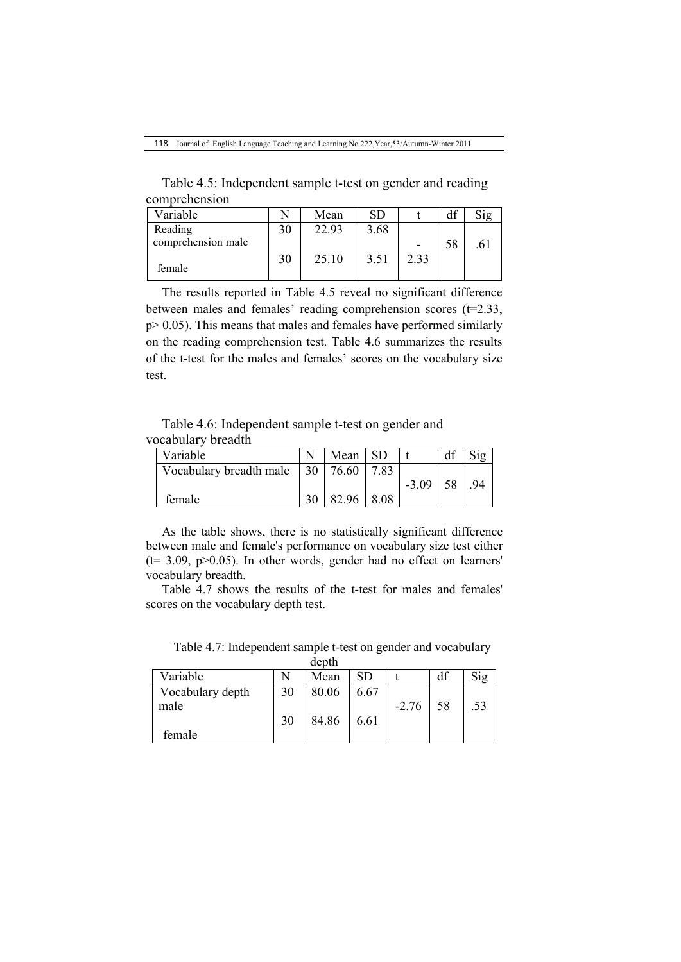Table 4.5: Independent sample t-test on gender and reading comprehension

| Variable           |    | Mean  | SD   |      |    |              |
|--------------------|----|-------|------|------|----|--------------|
| Reading            | 30 | 22.93 | 3.68 |      |    |              |
| comprehension male |    |       |      |      | 58 | $.6^{\circ}$ |
| female             | 30 | 25.10 | 3.51 | 2.33 |    |              |

The results reported in Table 4.5 reveal no significant difference between males and females' reading comprehension scores (t=2.33,  $p > 0.05$ ). This means that males and females have performed similarly on the reading comprehension test. Table 4.6 summarizes the results of the t-test for the males and females' scores on the vocabulary size test.

Table 4.6: Independent sample t-test on gender and vocabulary breadth

| Variable                |    | Mean  | SD.  |         | df |    |
|-------------------------|----|-------|------|---------|----|----|
| Vocabulary breadth male | 30 | 76.60 |      |         |    |    |
|                         |    |       |      | $-3.09$ | 58 | 94 |
| female                  |    | 82.96 | 8.08 |         |    |    |

As the table shows, there is no statistically significant difference between male and female's performance on vocabulary size test either  $(t= 3.09, p>0.05)$ . In other words, gender had no effect on learners' vocabulary breadth.

Table 4.7 shows the results of the t-test for males and females' scores on the vocabulary depth test.

|                  |    | uccu  |      |         |    |     |
|------------------|----|-------|------|---------|----|-----|
| Variable         |    | Mean  | SD   |         | df |     |
| Vocabulary depth | 30 | 80.06 | 6.67 |         |    |     |
| male             |    |       |      | $-2.76$ | 58 | .53 |
|                  | 30 | 84.86 | 6.61 |         |    |     |
| female           |    |       |      |         |    |     |

Table 4.7: Independent sample t-test on gender and vocabulary  $\bar{d}$  anth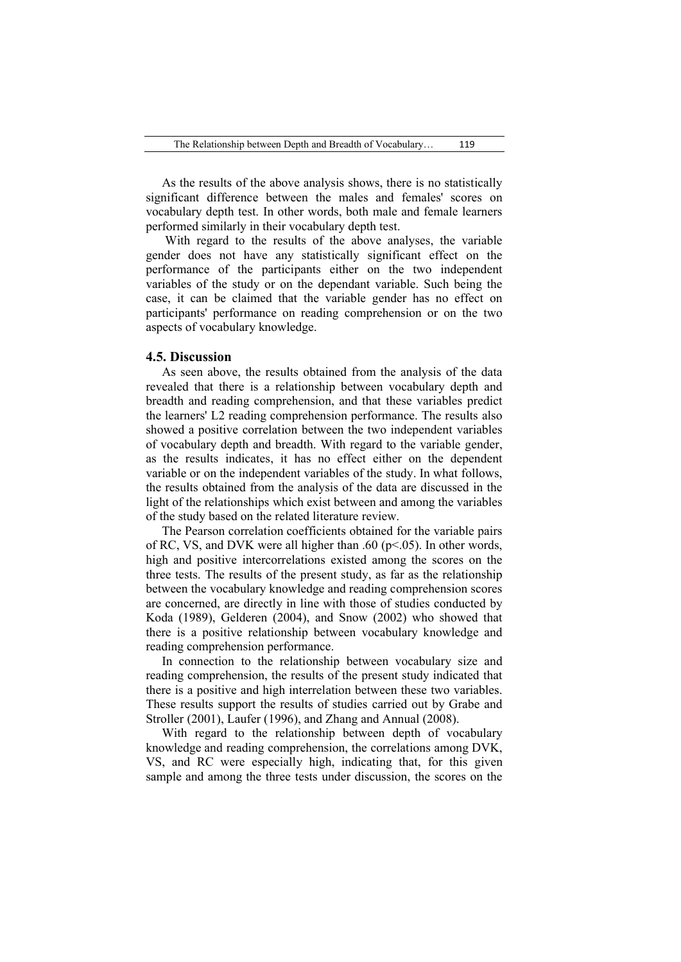As the results of the above analysis shows, there is no statistically significant difference between the males and females' scores on vocabulary depth test. In other words, both male and female learners performed similarly in their vocabulary depth test.

With regard to the results of the above analyses, the variable gender does not have any statistically significant effect on the performance of the participants either on the two independent variables of the study or on the dependant variable. Such being the case, it can be claimed that the variable gender has no effect on participants' performance on reading comprehension or on the two aspects of vocabulary knowledge.

## **4.5. Discussion**

As seen above, the results obtained from the analysis of the data revealed that there is a relationship between vocabulary depth and breadth and reading comprehension, and that these variables predict the learners' L2 reading comprehension performance. The results also showed a positive correlation between the two independent variables of vocabulary depth and breadth. With regard to the variable gender, as the results indicates, it has no effect either on the dependent variable or on the independent variables of the study. In what follows, the results obtained from the analysis of the data are discussed in the light of the relationships which exist between and among the variables of the study based on the related literature review.

The Pearson correlation coefficients obtained for the variable pairs of RC, VS, and DVK were all higher than .60 ( $p$ <.05). In other words, high and positive intercorrelations existed among the scores on the three tests. The results of the present study, as far as the relationship between the vocabulary knowledge and reading comprehension scores are concerned, are directly in line with those of studies conducted by Koda (1989), Gelderen (2004), and Snow (2002) who showed that there is a positive relationship between vocabulary knowledge and reading comprehension performance.

In connection to the relationship between vocabulary size and reading comprehension, the results of the present study indicated that there is a positive and high interrelation between these two variables. These results support the results of studies carried out by Grabe and Stroller (2001), Laufer (1996), and Zhang and Annual (2008).

With regard to the relationship between depth of vocabulary knowledge and reading comprehension, the correlations among DVK, VS, and RC were especially high, indicating that, for this given sample and among the three tests under discussion, the scores on the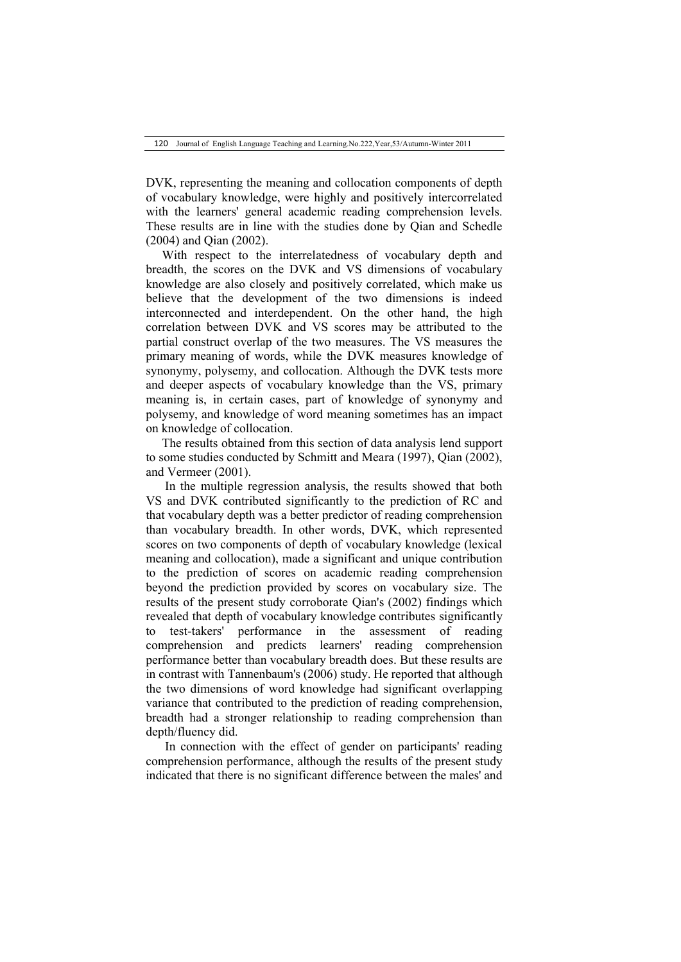DVK, representing the meaning and collocation components of depth of vocabulary knowledge, were highly and positively intercorrelated with the learners' general academic reading comprehension levels. These results are in line with the studies done by Qian and Schedle (2004) and Qian (2002).

With respect to the interrelatedness of vocabulary depth and breadth, the scores on the DVK and VS dimensions of vocabulary knowledge are also closely and positively correlated, which make us believe that the development of the two dimensions is indeed interconnected and interdependent. On the other hand, the high correlation between DVK and VS scores may be attributed to the partial construct overlap of the two measures. The VS measures the primary meaning of words, while the DVK measures knowledge of synonymy, polysemy, and collocation. Although the DVK tests more and deeper aspects of vocabulary knowledge than the VS, primary meaning is, in certain cases, part of knowledge of synonymy and polysemy, and knowledge of word meaning sometimes has an impact on knowledge of collocation.

The results obtained from this section of data analysis lend support to some studies conducted by Schmitt and Meara (1997), Qian (2002), and Vermeer (2001).

In the multiple regression analysis, the results showed that both VS and DVK contributed significantly to the prediction of RC and that vocabulary depth was a better predictor of reading comprehension than vocabulary breadth. In other words, DVK, which represented scores on two components of depth of vocabulary knowledge (lexical meaning and collocation), made a significant and unique contribution to the prediction of scores on academic reading comprehension beyond the prediction provided by scores on vocabulary size. The results of the present study corroborate Qian's (2002) findings which revealed that depth of vocabulary knowledge contributes significantly to test-takers' performance in the assessment of reading comprehension and predicts learners' reading comprehension performance better than vocabulary breadth does. But these results are in contrast with Tannenbaum's (2006) study. He reported that although the two dimensions of word knowledge had significant overlapping variance that contributed to the prediction of reading comprehension, breadth had a stronger relationship to reading comprehension than depth/fluency did.

In connection with the effect of gender on participants' reading comprehension performance, although the results of the present study indicated that there is no significant difference between the males' and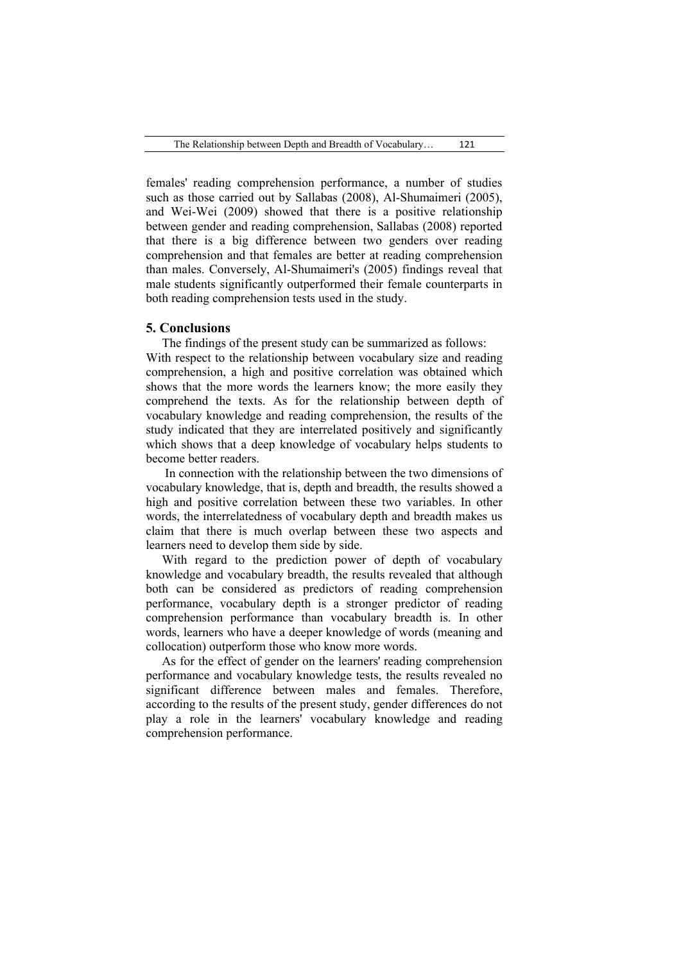females' reading comprehension performance, a number of studies such as those carried out by Sallabas (2008), Al-Shumaimeri (2005), and Wei-Wei (2009) showed that there is a positive relationship between gender and reading comprehension, Sallabas (2008) reported that there is a big difference between two genders over reading comprehension and that females are better at reading comprehension than males. Conversely, Al-Shumaimeri's (2005) findings reveal that male students significantly outperformed their female counterparts in both reading comprehension tests used in the study.

#### **5. Conclusions**

The findings of the present study can be summarized as follows: With respect to the relationship between vocabulary size and reading comprehension, a high and positive correlation was obtained which shows that the more words the learners know; the more easily they comprehend the texts. As for the relationship between depth of vocabulary knowledge and reading comprehension, the results of the study indicated that they are interrelated positively and significantly which shows that a deep knowledge of vocabulary helps students to become better readers.

In connection with the relationship between the two dimensions of vocabulary knowledge, that is, depth and breadth, the results showed a high and positive correlation between these two variables. In other words, the interrelatedness of vocabulary depth and breadth makes us claim that there is much overlap between these two aspects and learners need to develop them side by side.

With regard to the prediction power of depth of vocabulary knowledge and vocabulary breadth, the results revealed that although both can be considered as predictors of reading comprehension performance, vocabulary depth is a stronger predictor of reading comprehension performance than vocabulary breadth is. In other words, learners who have a deeper knowledge of words (meaning and collocation) outperform those who know more words.

As for the effect of gender on the learners' reading comprehension performance and vocabulary knowledge tests, the results revealed no significant difference between males and females. Therefore, according to the results of the present study, gender differences do not play a role in the learners' vocabulary knowledge and reading comprehension performance.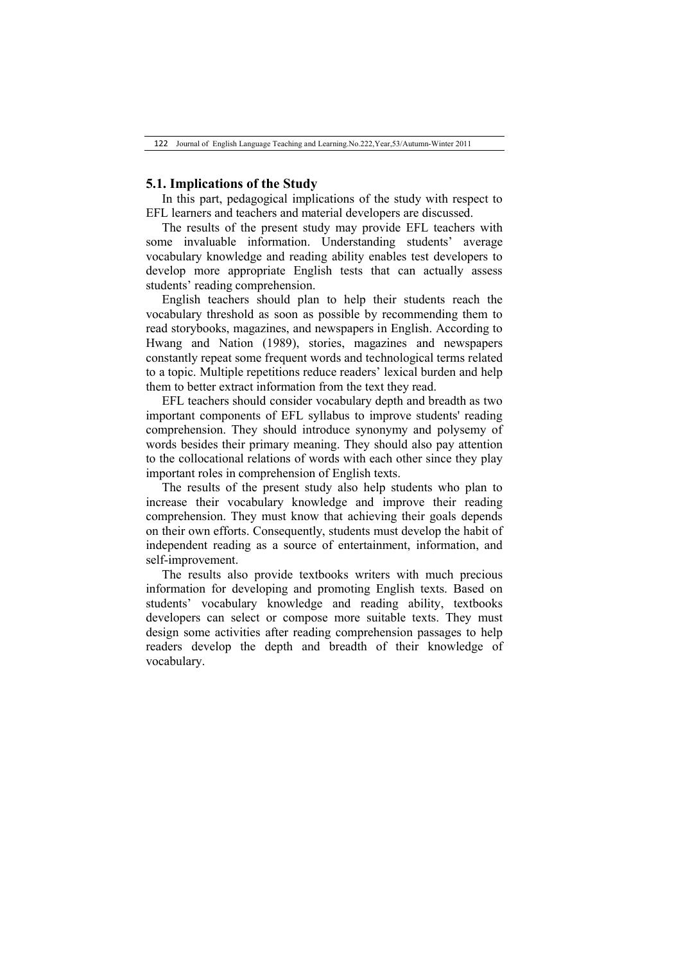## **5.1. Implications of the Study**

In this part, pedagogical implications of the study with respect to EFL learners and teachers and material developers are discussed.

The results of the present study may provide EFL teachers with some invaluable information. Understanding students' average vocabulary knowledge and reading ability enables test developers to develop more appropriate English tests that can actually assess students' reading comprehension.

English teachers should plan to help their students reach the vocabulary threshold as soon as possible by recommending them to read storybooks, magazines, and newspapers in English. According to Hwang and Nation (1989), stories, magazines and newspapers constantly repeat some frequent words and technological terms related to a topic. Multiple repetitions reduce readers' lexical burden and help them to better extract information from the text they read.

EFL teachers should consider vocabulary depth and breadth as two important components of EFL syllabus to improve students' reading comprehension. They should introduce synonymy and polysemy of words besides their primary meaning. They should also pay attention to the collocational relations of words with each other since they play important roles in comprehension of English texts.

The results of the present study also help students who plan to increase their vocabulary knowledge and improve their reading comprehension. They must know that achieving their goals depends on their own efforts. Consequently, students must develop the habit of independent reading as a source of entertainment, information, and self-improvement.

The results also provide textbooks writers with much precious information for developing and promoting English texts. Based on students' vocabulary knowledge and reading ability, textbooks developers can select or compose more suitable texts. They must design some activities after reading comprehension passages to help readers develop the depth and breadth of their knowledge of vocabulary.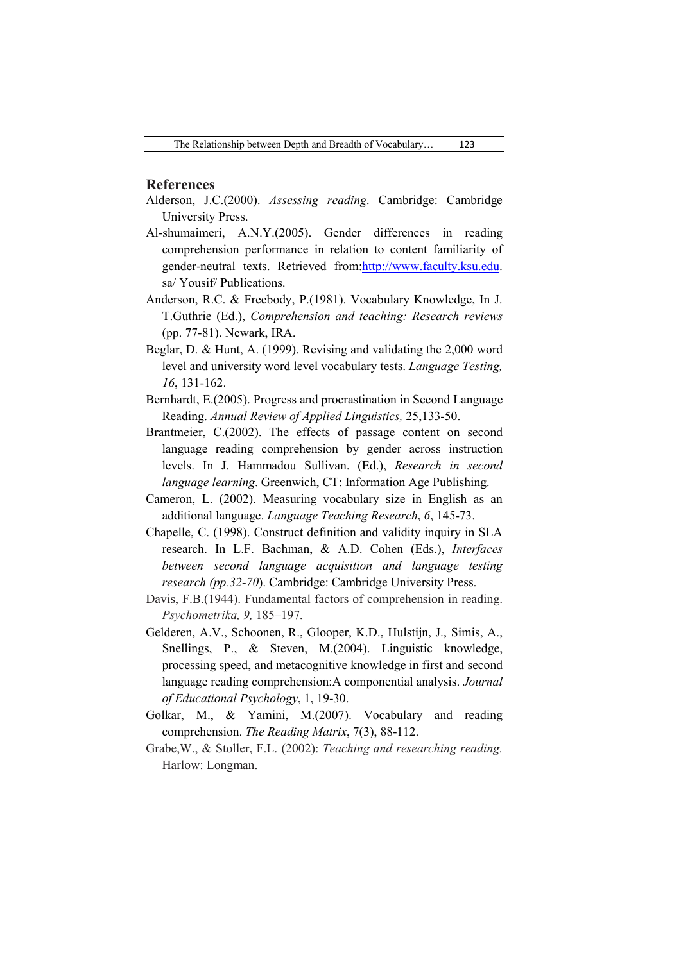### **References**

- Alderson, J.C.(2000). *Assessing reading*. Cambridge: Cambridge University Press.
- Al-shumaimeri, A.N.Y.(2005). Gender differences in reading comprehension performance in relation to content familiarity of gender-neutral texts. Retrieved from:http://www.faculty.ksu.edu. sa/ Yousif/ Publications.
- Anderson, R.C. & Freebody, P.(1981). Vocabulary Knowledge, In J. T.Guthrie (Ed.), *Comprehension and teaching: Research reviews* (pp. 77-81). Newark, IRA.
- Beglar, D. & Hunt, A. (1999). Revising and validating the 2,000 word level and university word level vocabulary tests. *Language Testing, 16*, 131-162.
- Bernhardt, E.(2005). Progress and procrastination in Second Language Reading. *Annual Review of Applied Linguistics,* 25,133-50.
- Brantmeier, C.(2002). The effects of passage content on second language reading comprehension by gender across instruction levels. In J. Hammadou Sullivan. (Ed.), *Research in second language learning*. Greenwich, CT: Information Age Publishing.
- Cameron, L. (2002). Measuring vocabulary size in English as an additional language. *Language Teaching Research*, *6*, 145-73.
- Chapelle, C. (1998). Construct definition and validity inquiry in SLA research. In L.F. Bachman, & A.D. Cohen (Eds.), *Interfaces between second language acquisition and language testing research (pp.32-70*). Cambridge: Cambridge University Press.
- Davis, F.B.(1944). Fundamental factors of comprehension in reading. *Psychometrika, 9,* 185–197.
- Gelderen, A.V., Schoonen, R., Glooper, K.D., Hulstijn, J., Simis, A., Snellings, P., & Steven, M.(2004). Linguistic knowledge, processing speed, and metacognitive knowledge in first and second language reading comprehension:A componential analysis. *Journal of Educational Psychology*, 1, 19-30.
- Golkar, M., & Yamini, M.(2007). Vocabulary and reading comprehension. *The Reading Matrix*, 7(3), 88-112.
- Grabe,W., & Stoller, F.L. (2002): *Teaching and researching reading.*  Harlow: Longman.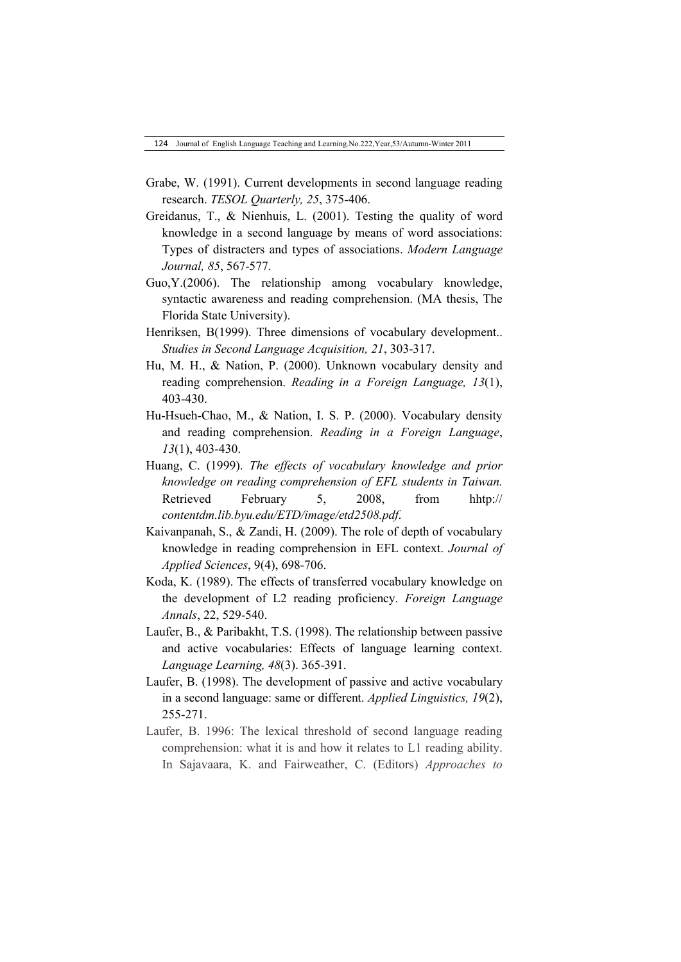- Grabe, W. (1991). Current developments in second language reading research. *TESOL Quarterly, 25*, 375-406.
- Greidanus, T., & Nienhuis, L. (2001). Testing the quality of word knowledge in a second language by means of word associations: Types of distracters and types of associations. *Modern Language Journal, 85*, 567-577.
- Guo,Y.(2006). The relationship among vocabulary knowledge, syntactic awareness and reading comprehension. (MA thesis, The Florida State University).
- Henriksen, B(1999). Three dimensions of vocabulary development.. *Studies in Second Language Acquisition, 21*, 303-317.
- Hu, M. H., & Nation, P. (2000). Unknown vocabulary density and reading comprehension. *Reading in a Foreign Language, 13*(1), 403-430.
- Hu-Hsueh-Chao, M., & Nation, I. S. P. (2000). Vocabulary density and reading comprehension. *Reading in a Foreign Language*, *13*(1), 403-430.
- Huang, C. (1999). *The effects of vocabulary knowledge and prior knowledge on reading comprehension of EFL students in Taiwan.*  Retrieved February 5, 2008, from hhtp:// *contentdm.lib.byu.edu/ETD/image/etd2508.pdf*.
- Kaivanpanah, S., & Zandi, H. (2009). The role of depth of vocabulary knowledge in reading comprehension in EFL context. *Journal of Applied Sciences*, 9(4), 698-706.
- Koda, K. (1989). The effects of transferred vocabulary knowledge on the development of L2 reading proficiency. *Foreign Language Annals*, 22, 529-540.
- Laufer, B., & Paribakht, T.S. (1998). The relationship between passive and active vocabularies: Effects of language learning context. *Language Learning, 48*(3). 365-391.
- Laufer, B. (1998). The development of passive and active vocabulary in a second language: same or different. *Applied Linguistics, 19*(2), 255-271.
- Laufer, B. 1996: The lexical threshold of second language reading comprehension: what it is and how it relates to L1 reading ability. In Sajavaara, K. and Fairweather, C. (Editors) *Approaches to*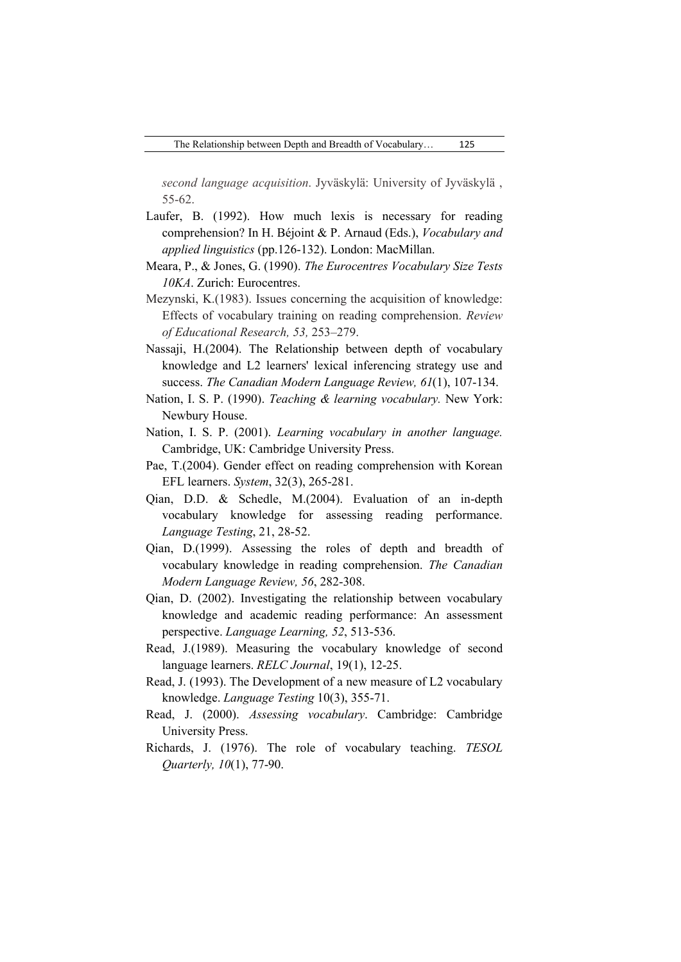*second language acquisition*. Jyväskylä: University of Jyväskylä , 55-62.

- Laufer, B. (1992). How much lexis is necessary for reading comprehension? In H. Béjoint & P. Arnaud (Eds.), *Vocabulary and applied linguistics* (pp.126-132). London: MacMillan.
- Meara, P., & Jones, G. (1990). *The Eurocentres Vocabulary Size Tests 10KA*. Zurich: Eurocentres.
- Mezynski, K.(1983). Issues concerning the acquisition of knowledge: Effects of vocabulary training on reading comprehension. *Review of Educational Research, 53,* 253–279.
- Nassaji, H.(2004). The Relationship between depth of vocabulary knowledge and L2 learners' lexical inferencing strategy use and success. *The Canadian Modern Language Review, 61*(1), 107-134.
- Nation, I. S. P. (1990). *Teaching & learning vocabulary.* New York: Newbury House.
- Nation, I. S. P. (2001). *Learning vocabulary in another language.*  Cambridge, UK: Cambridge University Press.
- Pae, T.(2004). Gender effect on reading comprehension with Korean EFL learners. *System*, 32(3), 265-281.
- Qian, D.D. & Schedle, M.(2004). Evaluation of an in-depth vocabulary knowledge for assessing reading performance. *Language Testing*, 21, 28-52.
- Qian, D.(1999). Assessing the roles of depth and breadth of vocabulary knowledge in reading comprehension. *The Canadian Modern Language Review, 56*, 282-308.
- Qian, D. (2002). Investigating the relationship between vocabulary knowledge and academic reading performance: An assessment perspective. *Language Learning, 52*, 513-536.
- Read, J.(1989). Measuring the vocabulary knowledge of second language learners. *RELC Journal*, 19(1), 12-25.
- Read, J. (1993). The Development of a new measure of L2 vocabulary knowledge. *Language Testing* 10(3), 355-71.
- Read, J. (2000). *Assessing vocabulary*. Cambridge: Cambridge University Press.
- Richards, J. (1976). The role of vocabulary teaching. *TESOL Quarterly, 10*(1), 77-90.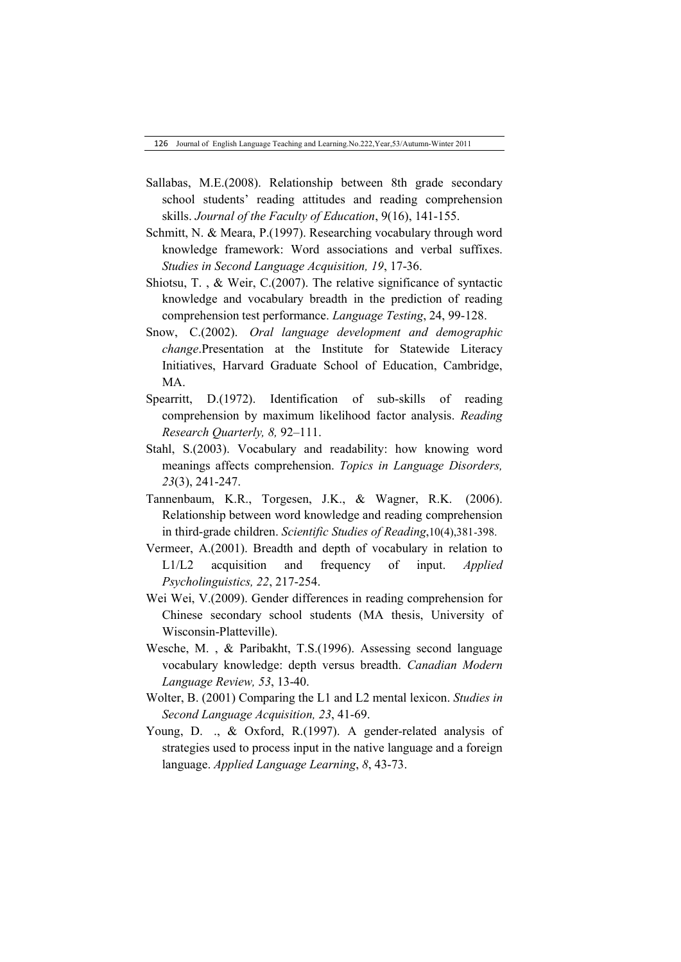- Sallabas, M.E.(2008). Relationship between 8th grade secondary school students' reading attitudes and reading comprehension skills. *Journal of the Faculty of Education*, 9(16), 141-155.
- Schmitt, N. & Meara, P.(1997). Researching vocabulary through word knowledge framework: Word associations and verbal suffixes. *Studies in Second Language Acquisition, 19*, 17-36.
- Shiotsu, T. , & Weir, C.(2007). The relative significance of syntactic knowledge and vocabulary breadth in the prediction of reading comprehension test performance. *Language Testing*, 24, 99-128.
- Snow, C.(2002). *Oral language development and demographic change*.Presentation at the Institute for Statewide Literacy Initiatives, Harvard Graduate School of Education, Cambridge, MA.
- Spearritt, D.(1972). Identification of sub-skills of reading comprehension by maximum likelihood factor analysis. *Reading Research Quarterly, 8,* 92–111.
- Stahl, S.(2003). Vocabulary and readability: how knowing word meanings affects comprehension. *Topics in Language Disorders, 23*(3), 241-247.
- Tannenbaum, K.R., Torgesen, J.K., & Wagner, R.K. (2006). Relationship between word knowledge and reading comprehension in third-grade children. *Scientific Studies of Reading*,10(4),381-398.
- Vermeer, A.(2001). Breadth and depth of vocabulary in relation to L1/L2 acquisition and frequency of input. *Applied Psycholinguistics, 22*, 217-254.
- Wei Wei, V.(2009). Gender differences in reading comprehension for Chinese secondary school students (MA thesis, University of Wisconsin-Platteville).
- Wesche, M. , & Paribakht, T.S.(1996). Assessing second language vocabulary knowledge: depth versus breadth. *Canadian Modern Language Review, 53*, 13-40.
- Wolter, B. (2001) Comparing the L1 and L2 mental lexicon. *Studies in Second Language Acquisition, 23*, 41-69.
- Young, D. ., & Oxford, R.(1997). A gender-related analysis of strategies used to process input in the native language and a foreign language. *Applied Language Learning*, *8*, 43-73.